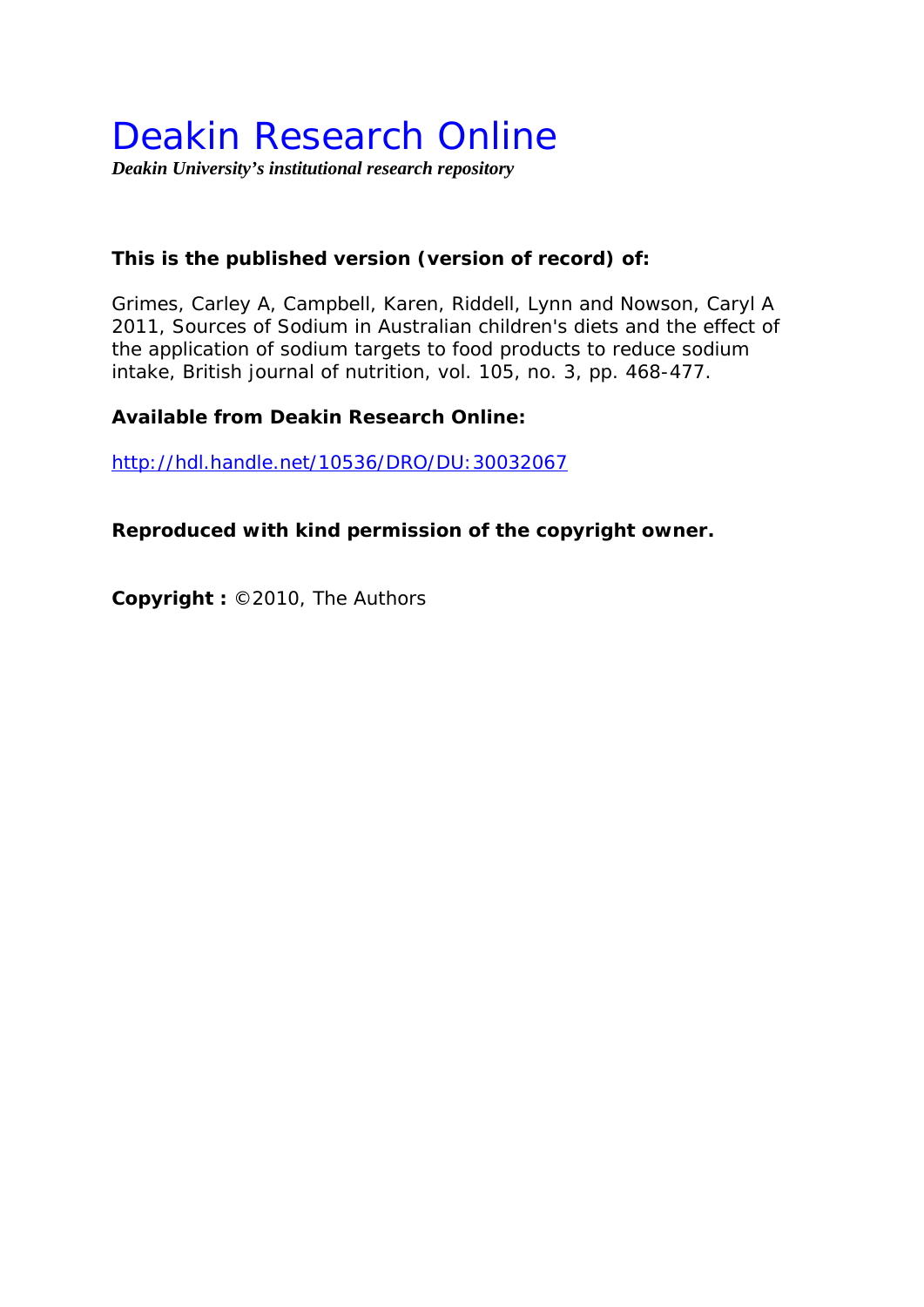# Deakin Research Online

*Deakin University's institutional research repository* 

## **This is the published version (version of record) of:**

Grimes, Carley A, Campbell, Karen, Riddell, Lynn and Nowson, Caryl A 2011, Sources of Sodium in Australian children's diets and the effect of the application of sodium targets to food products to reduce sodium intake*, British journal of nutrition*, vol. 105, no. 3, pp. 468-477.

### **Available from Deakin Research Online:**

http://hdl.handle.net/10536/DRO/DU:30032067

**Reproduced with kind permission of the copyright owner.** 

**Copyright :** ©2010, The Authors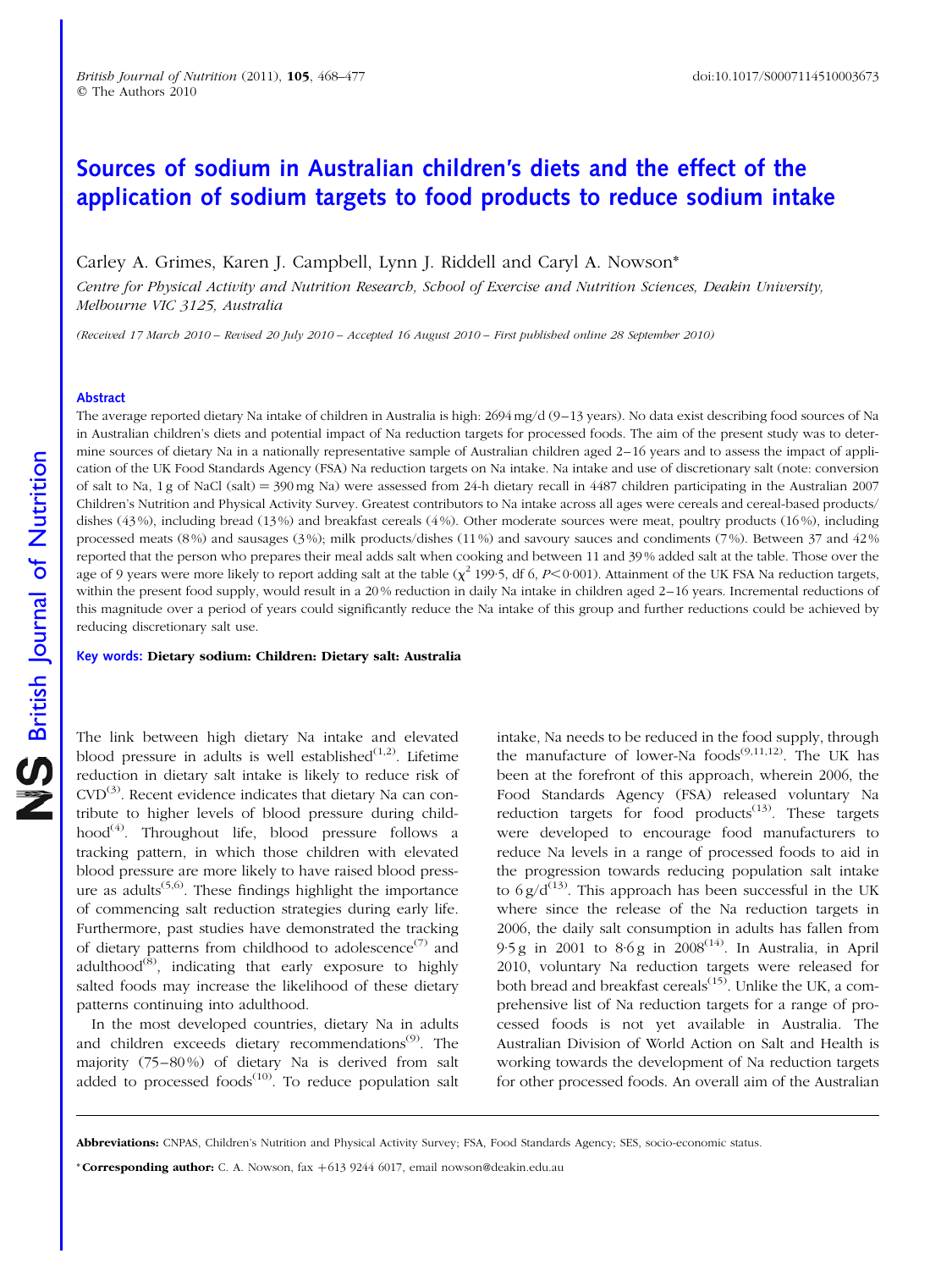## Sources of sodium in Australian children's diets and the effect of the application of sodium targets to food products to reduce sodium intake

Carley A. Grimes, Karen J. Campbell, Lynn J. Riddell and Caryl A. Nowson\*

Centre for Physical Activity and Nutrition Research, School of Exercise and Nutrition Sciences, Deakin University, Melbourne VIC 3125, Australia

(Received 17 March 2010 – Revised 20 July 2010 – Accepted 16 August 2010 – First published online 28 September 2010)

#### Abstract

The average reported dietary Na intake of children in Australia is high: 2694 mg/d (9–13 years). No data exist describing food sources of Na in Australian children's diets and potential impact of Na reduction targets for processed foods. The aim of the present study was to determine sources of dietary Na in a nationally representative sample of Australian children aged 2–16 years and to assess the impact of application of the UK Food Standards Agency (FSA) Na reduction targets on Na intake. Na intake and use of discretionary salt (note: conversion of salt to Na, 1 g of NaCl (salt) =  $390 \text{ mg}$  Na) were assessed from 24-h dietary recall in 4487 children participating in the Australian 2007 Children's Nutrition and Physical Activity Survey. Greatest contributors to Na intake across all ages were cereals and cereal-based products/ dishes (43%), including bread (13%) and breakfast cereals (4%). Other moderate sources were meat, poultry products (16%), including processed meats (8%) and sausages (3%); milk products/dishes (11%) and savoury sauces and condiments (7%). Between 37 and 42% reported that the person who prepares their meal adds salt when cooking and between 11 and 39 % added salt at the table. Those over the age of 9 years were more likely to report adding salt at the table  $(\chi^2$  199.5, df 6, P<0.001). Attainment of the UK FSA Na reduction targets, within the present food supply, would result in a 20% reduction in daily Na intake in children aged 2–16 years. Incremental reductions of this magnitude over a period of years could significantly reduce the Na intake of this group and further reductions could be achieved by reducing discretionary salt use.

Key words: Dietary sodium: Children: Dietary salt: Australia

The link between high dietary Na intake and elevated blood pressure in adults is well established $(1,2)$ . Lifetime reduction in dietary salt intake is likely to reduce risk of  $CVD^{(3)}$ . Recent evidence indicates that dietary Na can contribute to higher levels of blood pressure during childhood<sup>(4)</sup>. Throughout life, blood pressure follows a tracking pattern, in which those children with elevated blood pressure are more likely to have raised blood pressure as adults<sup> $(5,6)$ </sup>. These findings highlight the importance of commencing salt reduction strategies during early life. Furthermore, past studies have demonstrated the tracking of dietary patterns from childhood to adolescence<sup>(7)</sup> and adulthood<sup> $(8)$ </sup>, indicating that early exposure to highly salted foods may increase the likelihood of these dietary patterns continuing into adulthood.

In the most developed countries, dietary Na in adults and children exceeds dietary recommendations<sup>(9)</sup>. The majority (75–80 %) of dietary Na is derived from salt added to processed foods $(10)$ . To reduce population salt

intake, Na needs to be reduced in the food supply, through the manufacture of lower-Na  $f(9,11,12)$ . The UK has been at the forefront of this approach, wherein 2006, the Food Standards Agency (FSA) released voluntary Na reduction targets for food products $(13)$ . These targets were developed to encourage food manufacturers to reduce Na levels in a range of processed foods to aid in the progression towards reducing population salt intake to  $6 g/d^{(13)}$ . This approach has been successful in the UK where since the release of the Na reduction targets in 2006, the daily salt consumption in adults has fallen from 9.5 g in 2001 to 8.6 g in  $2008^{(14)}$ . In Australia, in April 2010, voluntary Na reduction targets were released for both bread and breakfast cereals<sup> $(15)$ </sup>. Unlike the UK, a comprehensive list of Na reduction targets for a range of processed foods is not yet available in Australia. The Australian Division of World Action on Salt and Health is working towards the development of Na reduction targets for other processed foods. An overall aim of the Australian

Abbreviations: CNPAS, Children's Nutrition and Physical Activity Survey; FSA, Food Standards Agency; SES, socio-economic status.

<sup>\*</sup> Corresponding author: C. A. Nowson,  $\text{far } +61392446017$ , email nowson@deakin.edu.au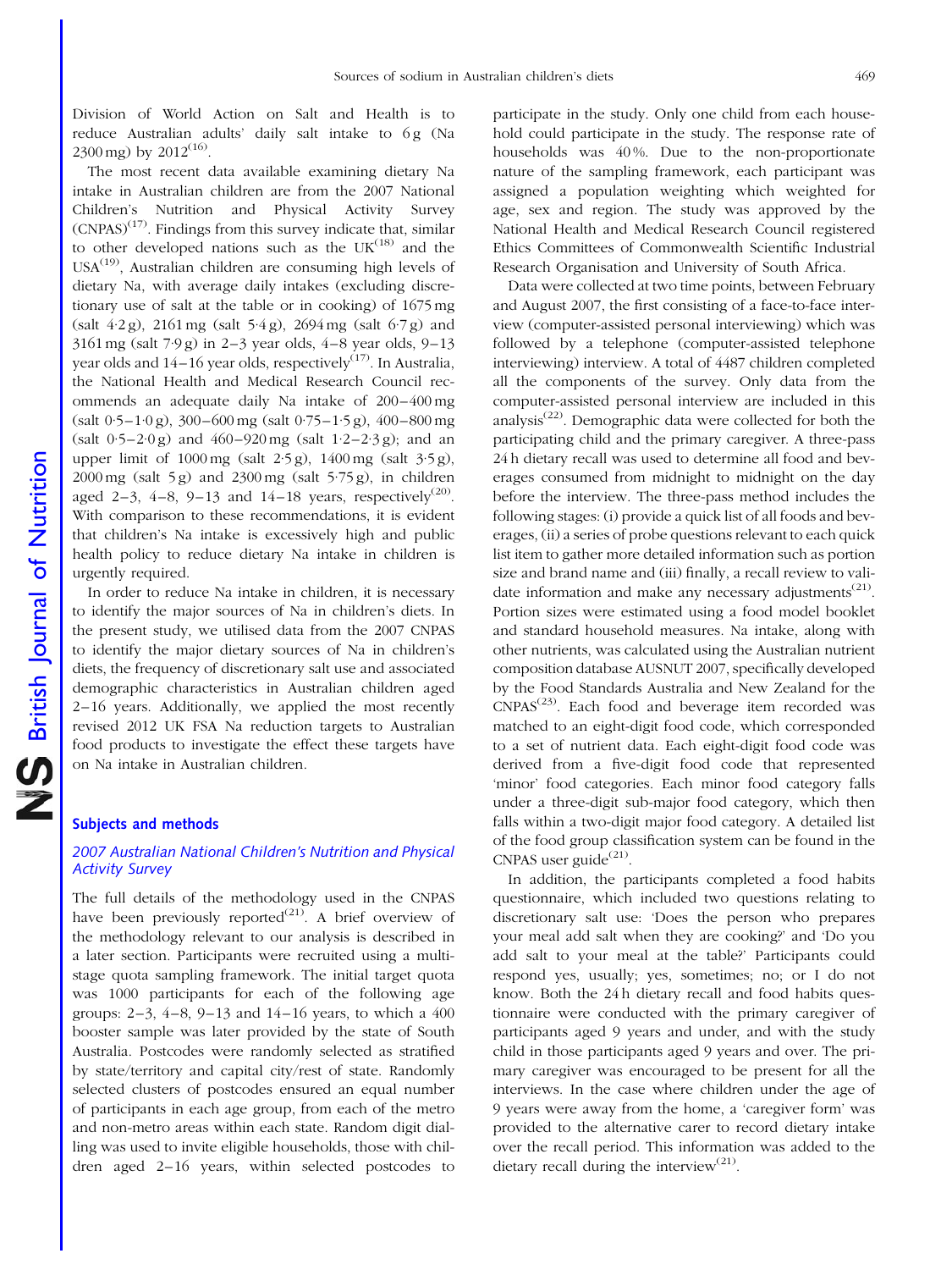Division of World Action on Salt and Health is to reduce Australian adults' daily salt intake to 6g (Na 2300 mg) by  $2012^{(16)}$ .

The most recent data available examining dietary Na intake in Australian children are from the 2007 National Children's Nutrition and Physical Activity Survey  $(CNPAS)^{(17)}$ . Findings from this survey indicate that, similar to other developed nations such as the  $UK<sup>(18)</sup>$  and the  $USA^{(19)}$ , Australian children are consuming high levels of dietary Na, with average daily intakes (excluding discretionary use of salt at the table or in cooking) of 1675 mg (salt 4·2 g), 2161 mg (salt 5·4 g), 2694 mg (salt 6·7 g) and 3161 mg (salt 7·9 g) in 2–3 year olds, 4–8 year olds, 9–13 year olds and  $14-16$  year olds, respectively<sup> $(17)$ </sup>. In Australia, the National Health and Medical Research Council recommends an adequate daily Na intake of 200–400 mg (salt 0·5–1·0 g), 300–600 mg (salt 0·75–1·5 g), 400–800 mg  $(salt 0.5-2.0 g)$  and  $460-920 mg$  (salt  $1.2-2.3 g)$ ; and an upper limit of 1000 mg (salt 2·5 g), 1400 mg (salt 3·5 g),  $2000 \text{ mg}$  (salt  $5 \text{ g}$ ) and  $2300 \text{ mg}$  (salt  $5.75 \text{ g}$ ), in children aged 2–3, 4–8, 9–13 and 14–18 years, respectively<sup>(20)</sup>. With comparison to these recommendations, it is evident that children's Na intake is excessively high and public health policy to reduce dietary Na intake in children is urgently required.

In order to reduce Na intake in children, it is necessary to identify the major sources of Na in children's diets. In the present study, we utilised data from the 2007 CNPAS to identify the major dietary sources of Na in children's diets, the frequency of discretionary salt use and associated demographic characteristics in Australian children aged 2–16 years. Additionally, we applied the most recently revised 2012 UK FSA Na reduction targets to Australian food products to investigate the effect these targets have on Na intake in Australian children.

#### Subjects and methods

#### 2007 Australian National Children's Nutrition and Physical Activity Survey

The full details of the methodology used in the CNPAS have been previously reported<sup>(21)</sup>. A brief overview of the methodology relevant to our analysis is described in a later section. Participants were recruited using a multistage quota sampling framework. The initial target quota was 1000 participants for each of the following age groups: 2–3, 4–8, 9–13 and 14–16 years, to which a 400 booster sample was later provided by the state of South Australia. Postcodes were randomly selected as stratified by state/territory and capital city/rest of state. Randomly selected clusters of postcodes ensured an equal number of participants in each age group, from each of the metro and non-metro areas within each state. Random digit dialling was used to invite eligible households, those with children aged 2–16 years, within selected postcodes to

participate in the study. Only one child from each household could participate in the study. The response rate of households was 40 %. Due to the non-proportionate nature of the sampling framework, each participant was assigned a population weighting which weighted for age, sex and region. The study was approved by the National Health and Medical Research Council registered Ethics Committees of Commonwealth Scientific Industrial Research Organisation and University of South Africa.

Data were collected at two time points, between February and August 2007, the first consisting of a face-to-face interview (computer-assisted personal interviewing) which was followed by a telephone (computer-assisted telephone interviewing) interview. A total of 4487 children completed all the components of the survey. Only data from the computer-assisted personal interview are included in this analysis<sup> $(22)$ </sup>. Demographic data were collected for both the participating child and the primary caregiver. A three-pass 24 h dietary recall was used to determine all food and beverages consumed from midnight to midnight on the day before the interview. The three-pass method includes the following stages: (i) provide a quick list of all foods and beverages, (ii) a series of probe questions relevant to each quick list item to gather more detailed information such as portion size and brand name and (iii) finally, a recall review to validate information and make any necessary adjustments<sup>(21)</sup>. Portion sizes were estimated using a food model booklet and standard household measures. Na intake, along with other nutrients, was calculated using the Australian nutrient composition database AUSNUT 2007, specifically developed by the Food Standards Australia and New Zealand for the  $CNPAS<sup>(23)</sup>$ . Each food and beverage item recorded was matched to an eight-digit food code, which corresponded to a set of nutrient data. Each eight-digit food code was derived from a five-digit food code that represented 'minor' food categories. Each minor food category falls under a three-digit sub-major food category, which then falls within a two-digit major food category. A detailed list of the food group classification system can be found in the CNPAS user guide<sup> $(21)$ </sup>.

In addition, the participants completed a food habits questionnaire, which included two questions relating to discretionary salt use: 'Does the person who prepares your meal add salt when they are cooking?' and 'Do you add salt to your meal at the table?' Participants could respond yes, usually; yes, sometimes; no; or I do not know. Both the 24 h dietary recall and food habits questionnaire were conducted with the primary caregiver of participants aged 9 years and under, and with the study child in those participants aged 9 years and over. The primary caregiver was encouraged to be present for all the interviews. In the case where children under the age of 9 years were away from the home, a 'caregiver form' was provided to the alternative carer to record dietary intake over the recall period. This information was added to the dietary recall during the interview<sup>(21)</sup>.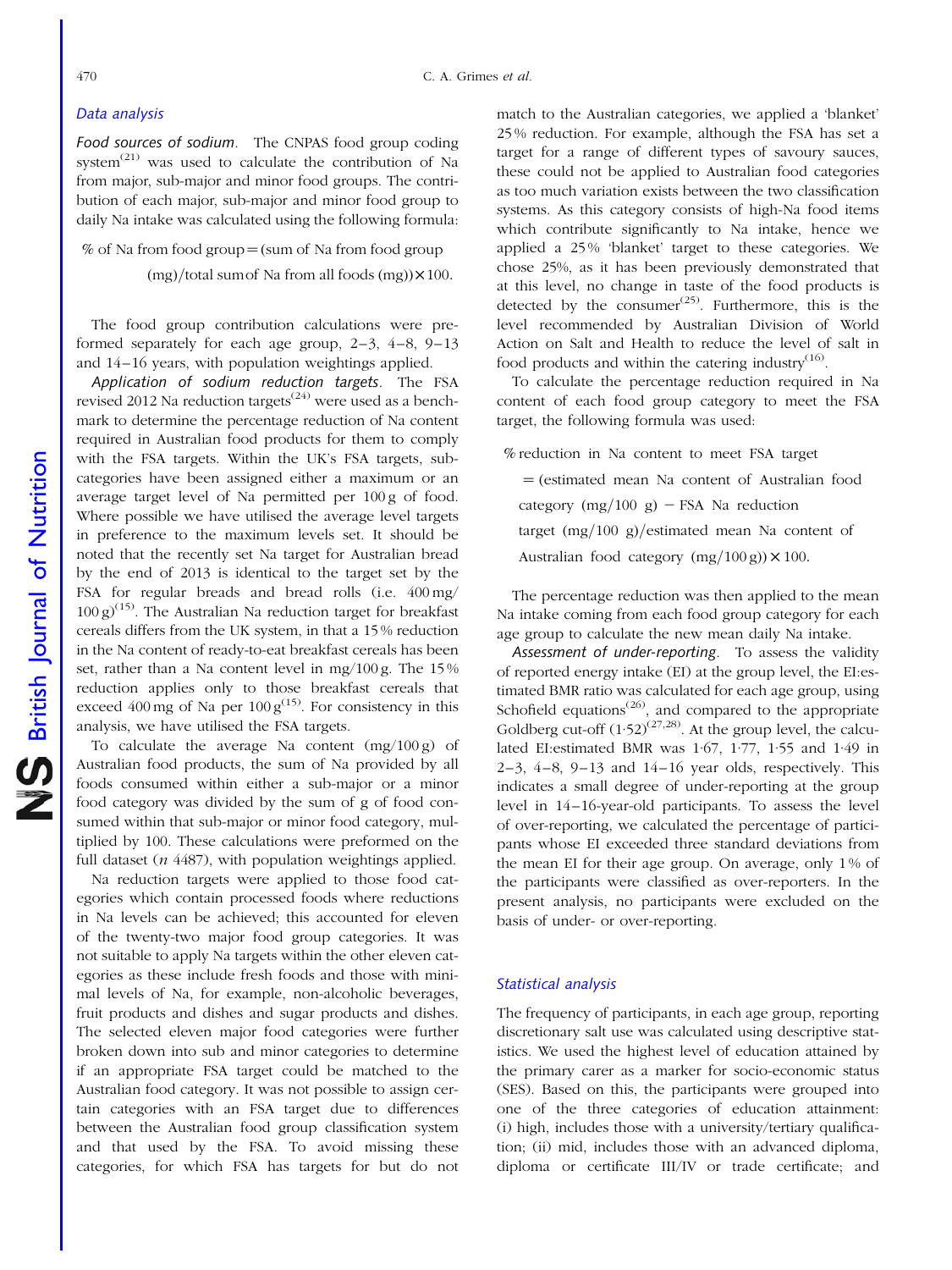#### Data analysis

Food sources of sodium. The CNPAS food group coding system $^{(21)}$  was used to calculate the contribution of Na from major, sub-major and minor food groups. The contribution of each major, sub-major and minor food group to daily Na intake was calculated using the following formula:

% of Na from food group  $=$  (sum of Na from food group  $\frac{mg}{\text{total sum}}$  Sum of Na from all foods  $\frac{mg}{\text{N}}$ 

The food group contribution calculations were preformed separately for each age group, 2–3, 4–8, 9–13 and 14–16 years, with population weightings applied.

Application of sodium reduction targets. The FSA revised 2012 Na reduction targets<sup> $(24)$ </sup> were used as a benchmark to determine the percentage reduction of Na content required in Australian food products for them to comply with the FSA targets. Within the UK's FSA targets, subcategories have been assigned either a maximum or an average target level of Na permitted per 100 g of food. Where possible we have utilised the average level targets in preference to the maximum levels set. It should be noted that the recently set Na target for Australian bread by the end of 2013 is identical to the target set by the FSA for regular breads and bread rolls (i.e. 400 mg/  $100 \text{ g}$ <sup>(15)</sup>. The Australian Na reduction target for breakfast cereals differs from the UK system, in that a 15 % reduction in the Na content of ready-to-eat breakfast cereals has been set, rather than a Na content level in mg/100 g. The 15 % reduction applies only to those breakfast cereals that exceed 400 mg of Na per  $100 g<sup>(15)</sup>$ . For consistency in this analysis, we have utilised the FSA targets.

To calculate the average Na content  $(mg/100 g)$  of Australian food products, the sum of Na provided by all foods consumed within either a sub-major or a minor food category was divided by the sum of g of food consumed within that sub-major or minor food category, multiplied by 100. These calculations were preformed on the full dataset  $(n 4487)$ , with population weightings applied.

Na reduction targets were applied to those food categories which contain processed foods where reductions in Na levels can be achieved; this accounted for eleven of the twenty-two major food group categories. It was not suitable to apply Na targets within the other eleven categories as these include fresh foods and those with minimal levels of Na, for example, non-alcoholic beverages, fruit products and dishes and sugar products and dishes. The selected eleven major food categories were further broken down into sub and minor categories to determine if an appropriate FSA target could be matched to the Australian food category. It was not possible to assign certain categories with an FSA target due to differences between the Australian food group classification system and that used by the FSA. To avoid missing these categories, for which FSA has targets for but do not

match to the Australian categories, we applied a 'blanket' 25 % reduction. For example, although the FSA has set a target for a range of different types of savoury sauces, these could not be applied to Australian food categories as too much variation exists between the two classification systems. As this category consists of high-Na food items which contribute significantly to Na intake, hence we applied a 25 % 'blanket' target to these categories. We chose 25%, as it has been previously demonstrated that at this level, no change in taste of the food products is detected by the consumer $\frac{(25)}{25}$ . Furthermore, this is the level recommended by Australian Division of World Action on Salt and Health to reduce the level of salt in food products and within the catering industry $(16)$ .

To calculate the percentage reduction required in Na content of each food group category to meet the FSA target, the following formula was used:

% reduction in Na content to meet FSA target  $=$  (estimated mean Na content of Australian food category  $(mg/100 g)$  – FSA Na reduction target  $(mg/100 g)/$ estimated mean Na content of Australian food category  $(mg/100 g) \times 100$ .

The percentage reduction was then applied to the mean Na intake coming from each food group category for each age group to calculate the new mean daily Na intake.

Assessment of under-reporting. To assess the validity of reported energy intake (EI) at the group level, the EI:estimated BMR ratio was calculated for each age group, using Schofield equations<sup>(26)</sup>, and compared to the appropriate Goldberg cut-off  $(1.52)^{(27,28)}$ . At the group level, the calculated EI:estimated BMR was 1·67, 1·77, 1·55 and 1·49 in  $2-3$ ,  $4-8$ ,  $9-13$  and  $14-16$  year olds, respectively. This indicates a small degree of under-reporting at the group level in 14–16-year-old participants. To assess the level of over-reporting, we calculated the percentage of participants whose EI exceeded three standard deviations from the mean EI for their age group. On average, only 1 % of the participants were classified as over-reporters. In the present analysis, no participants were excluded on the basis of under- or over-reporting.

#### Statistical analysis

The frequency of participants, in each age group, reporting discretionary salt use was calculated using descriptive statistics. We used the highest level of education attained by the primary carer as a marker for socio-economic status (SES). Based on this, the participants were grouped into one of the three categories of education attainment: (i) high, includes those with a university/tertiary qualification; (ii) mid, includes those with an advanced diploma, diploma or certificate III/IV or trade certificate; and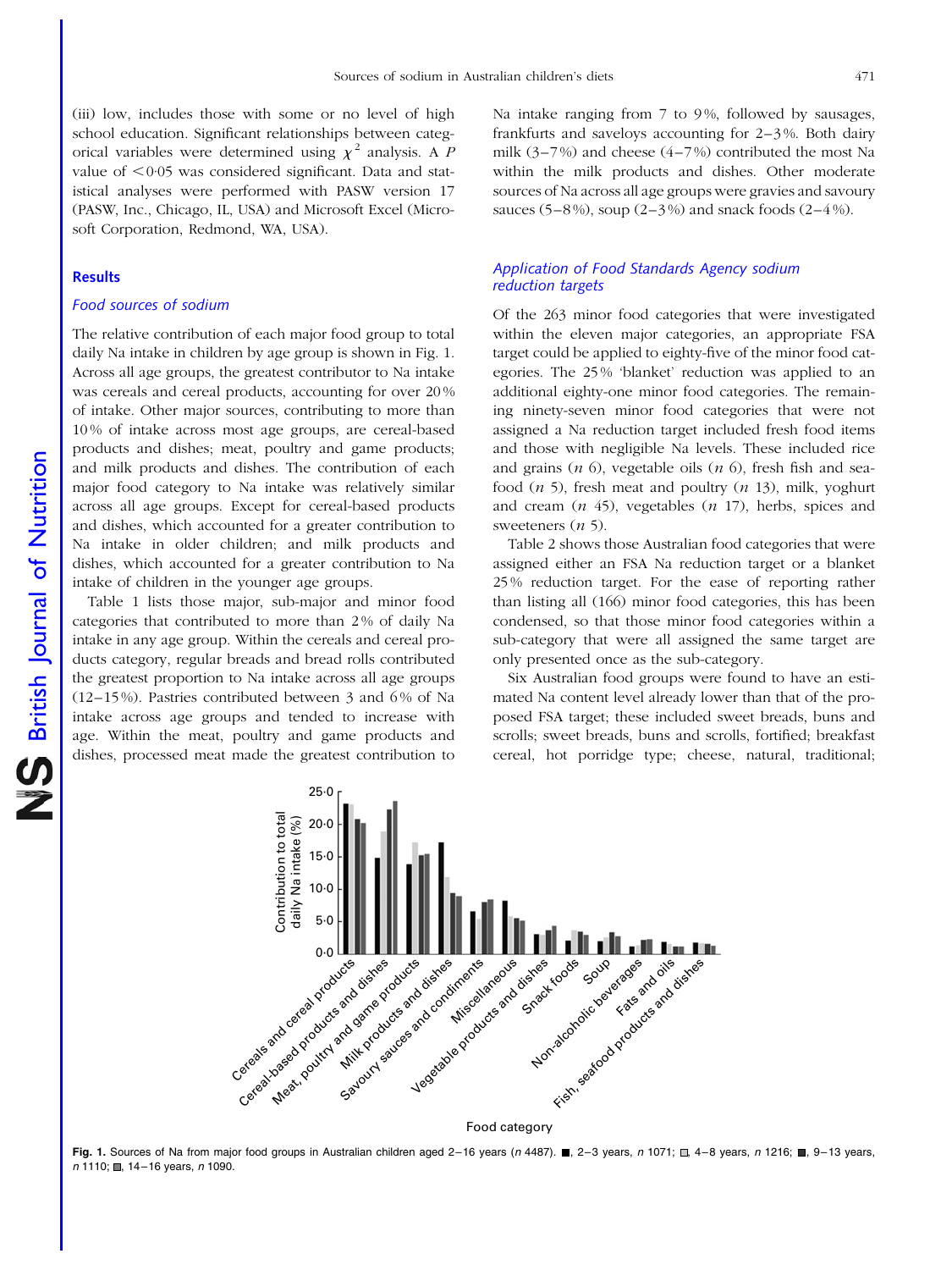(iii) low, includes those with some or no level of high school education. Significant relationships between categorical variables were determined using  $\chi^2$  analysis. A P value of  $\leq$  0·05 was considered significant. Data and statistical analyses were performed with PASW version 17 (PASW, Inc., Chicago, IL, USA) and Microsoft Excel (Microsoft Corporation, Redmond, WA, USA).

#### **Results**

#### Food sources of sodium

The relative contribution of each major food group to total daily Na intake in children by age group is shown in Fig. 1. Across all age groups, the greatest contributor to Na intake was cereals and cereal products, accounting for over 20 % of intake. Other major sources, contributing to more than 10 % of intake across most age groups, are cereal-based products and dishes; meat, poultry and game products; and milk products and dishes. The contribution of each major food category to Na intake was relatively similar across all age groups. Except for cereal-based products and dishes, which accounted for a greater contribution to Na intake in older children; and milk products and dishes, which accounted for a greater contribution to Na intake of children in the younger age groups.

[Table 1](#page-5-0) lists those major, sub-major and minor food categories that contributed to more than 2 % of daily Na intake in any age group. Within the cereals and cereal products category, regular breads and bread rolls contributed the greatest proportion to Na intake across all age groups (12–15 %). Pastries contributed between 3 and 6 % of Na intake across age groups and tended to increase with age. Within the meat, poultry and game products and dishes, processed meat made the greatest contribution to

Na intake ranging from 7 to 9%, followed by sausages, frankfurts and saveloys accounting for 2–3 %. Both dairy milk  $(3-7%)$  and cheese  $(4-7%)$  contributed the most Na within the milk products and dishes. Other moderate sources of Na across all age groups were gravies and savoury sauces (5–8%), soup (2–3%) and snack foods (2–4%).

#### Application of Food Standards Agency sodium reduction targets

Of the 263 minor food categories that were investigated within the eleven major categories, an appropriate FSA target could be applied to eighty-five of the minor food categories. The 25 % 'blanket' reduction was applied to an additional eighty-one minor food categories. The remaining ninety-seven minor food categories that were not assigned a Na reduction target included fresh food items and those with negligible Na levels. These included rice and grains  $(n\ 6)$ , vegetable oils  $(n\ 6)$ , fresh fish and seafood  $(n 5)$ , fresh meat and poultry  $(n 13)$ , milk, yoghurt and cream  $(n 45)$ , vegetables  $(n 17)$ , herbs, spices and sweeteners  $(n, 5)$ .

[Table 2](#page-6-0) shows those Australian food categories that were assigned either an FSA Na reduction target or a blanket 25 % reduction target. For the ease of reporting rather than listing all (166) minor food categories, this has been condensed, so that those minor food categories within a sub-category that were all assigned the same target are only presented once as the sub-category.

Six Australian food groups were found to have an estimated Na content level already lower than that of the proposed FSA target; these included sweet breads, buns and scrolls; sweet breads, buns and scrolls, fortified; breakfast cereal, hot porridge type; cheese, natural, traditional;



Fig. 1. Sources of Na from major food groups in Australian children aged 2-16 years (n 4487).  $\blacksquare$ , 2-3 years, n 1071;  $\blacksquare$ , 4-8 years, n 1216;  $\blacksquare$ , 9-13 years,  $n$  1110; , 14-16 years,  $n$  1090.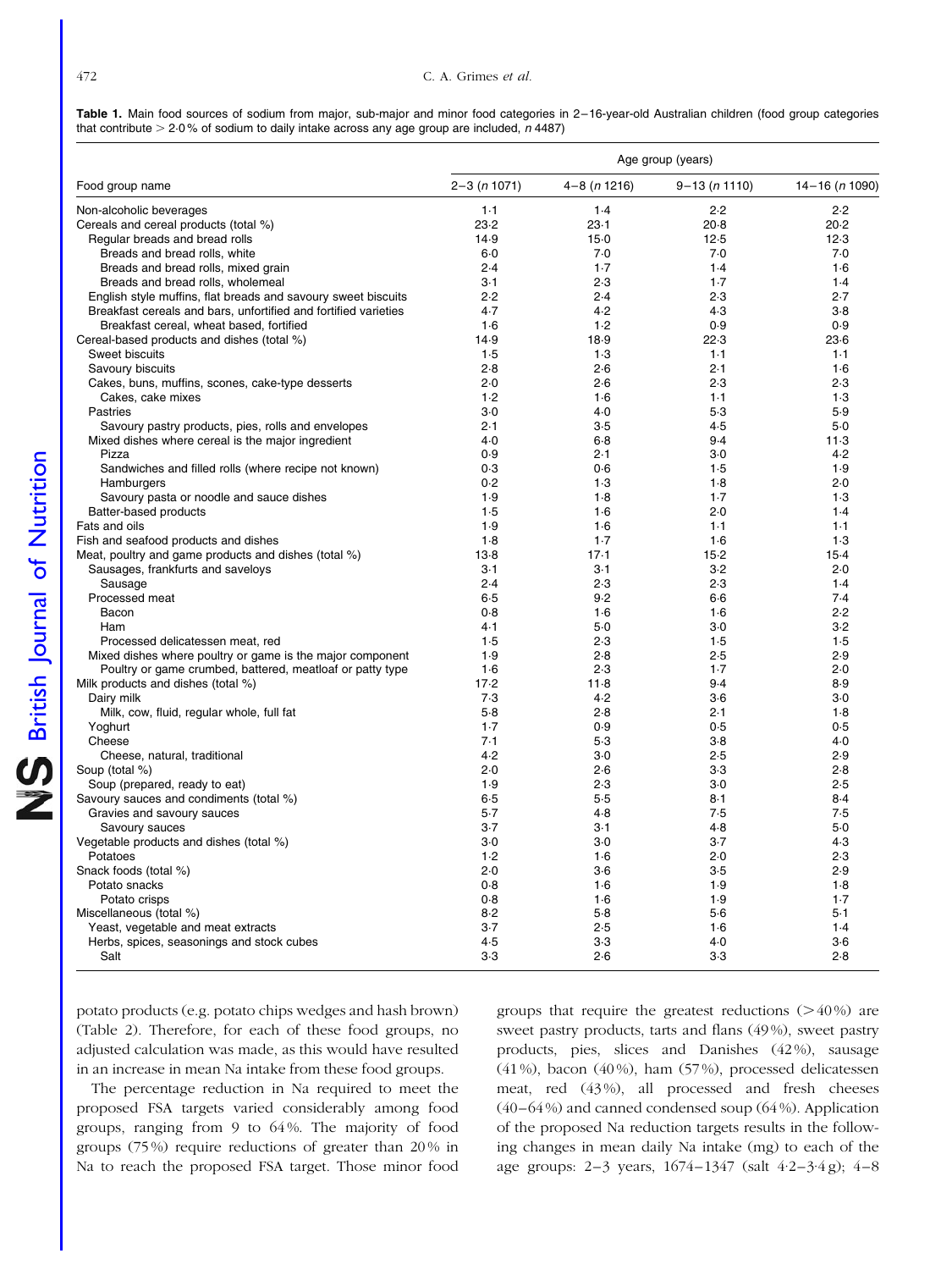<span id="page-5-0"></span>

|  |  |  | Table 1. Main food sources of sodium from major, sub-major and minor food categories in 2-16-year-old Australian children (food group categories |  |  |  |  |
|--|--|--|--------------------------------------------------------------------------------------------------------------------------------------------------|--|--|--|--|
|  |  |  | that contribute $>$ 2.0% of sodium to daily intake across any age group are included, $n$ 4487)                                                  |  |  |  |  |

| $2 - 3(n 1071)$<br>$4-8(n1216)$<br>$9 - 13 (n 1110)$<br>Food group name<br>$14 - 16$ ( <i>n</i> 1090)<br>$1-1$<br>2.2<br>Non-alcoholic beverages<br>1.4<br>2.2<br>23.2<br>Cereals and cereal products (total %)<br>$23-1$<br>$20-8$<br>20.2<br>Regular breads and bread rolls<br>14.9<br>$15-0$<br>12.5<br>12.3<br>Breads and bread rolls, white<br>7.0<br>7.0<br>7.0<br>$6-0$<br>Breads and bread rolls, mixed grain<br>2.4<br>$1-7$<br>1.4<br>1.6<br>Breads and bread rolls, wholemeal<br>$3-1$<br>2.3<br>$1-7$<br>1.4<br>2.2<br>2.4<br>2.3<br>2.7<br>English style muffins, flat breads and savoury sweet biscuits<br>Breakfast cereals and bars, unfortified and fortified varieties<br>4.2<br>4.3<br>$3-8$<br>4.7<br>Breakfast cereal, wheat based, fortified<br>$1-6$<br>1.2<br>0.9<br>0.9<br>Cereal-based products and dishes (total %)<br>22.3<br>14.9<br>18.9<br>$23-6$<br>Sweet biscuits<br>1.5<br>1.3<br>$1-1$<br>$1 - 1$<br>2.8<br>2.6<br>2.1<br>Savoury biscuits<br>1·6<br>Cakes, buns, muffins, scones, cake-type desserts<br>2.0<br>2.6<br>2.3<br>2.3<br>Cakes, cake mixes<br>$1-6$<br>$1-1$<br>1.3<br>1.2<br>$4-0$<br>$5-3$<br>5.9<br>Pastries<br>$3-0$<br>Savoury pastry products, pies, rolls and envelopes<br>2.1<br>$3-5$<br>4.5<br>$5-0$<br>Mixed dishes where cereal is the major ingredient<br>$4-0$<br>9.4<br>$11-3$<br>$6-8$<br>4.2<br>Pizza<br>0.9<br>2.1<br>$3-0$<br>Sandwiches and filled rolls (where recipe not known)<br>1.9<br>0.3<br>0.6<br>1.5<br>0.2<br>$1-3$<br>$1-8$<br>2.0<br>Hamburgers<br>Savoury pasta or noodle and sauce dishes<br>1.9<br>$1-8$<br>1.7<br>1.3<br>Batter-based products<br>$1-6$<br>2.0<br>1.4<br>1.5<br>Fats and oils<br>1.9<br>1.6<br>$1-1$<br>$1-1$<br>Fish and seafood products and dishes<br>1.8<br>$1-7$<br>1.6<br>1.3<br>Meat, poultry and game products and dishes (total %)<br>$15-2$<br>$13-8$<br>$17-1$<br>$15-4$<br>Sausages, frankfurts and saveloys<br>$3-1$<br>3.2<br>2.0<br>$3-1$<br>2.3<br>Sausage<br>2.4<br>2.3<br>1.4<br>Processed meat<br>$6-5$<br>9.2<br>$6-6$<br>7.4<br>Bacon<br>0.8<br>$1-6$<br>1.6<br>2.2<br>4.1<br>$3-0$<br>$3-2$<br>Ham<br>$5-0$<br>1.5<br>1.5<br>1.5<br>2.3<br>Processed delicatessen meat, red<br>Mixed dishes where poultry or game is the major component<br>1.9<br>2.8<br>2.5<br>2.9<br>Poultry or game crumbed, battered, meatloaf or patty type<br>2.0<br>$1-6$<br>2.3<br>$1-7$<br>Milk products and dishes (total %)<br>17.2<br>9.4<br>8.9<br>$11-8$<br>7.3<br>4.2<br>$3-0$<br>Dairy milk<br>$3-6$<br>Milk, cow, fluid, regular whole, full fat<br>$5-8$<br>2.8<br>2.1<br>$1-8$<br>Yoghurt<br>0.9<br>0.5<br>0.5<br>$1-7$<br>Cheese<br>7.1<br>$5-3$<br>$3-8$<br>4.0<br>Cheese, natural, traditional<br>4.2<br>2.5<br>2.9<br>$3-0$<br>Soup (total %)<br>2.0<br>2.6<br>$3-3$<br>2.8<br>Soup (prepared, ready to eat)<br>1.9<br>2.3<br>$3-0$<br>2.5<br>Savoury sauces and condiments (total %)<br>$5 - 5$<br>8.4<br>$6-5$<br>$8-1$<br>Gravies and savoury sauces<br>$5-7$<br>$4-8$<br>7.5<br>7.5<br>$3-7$<br>4.8<br>$5-0$<br>Savoury sauces<br>$3-1$<br>$3-7$<br>Vegetable products and dishes (total %)<br>$3-0$<br>4.3<br>3.0<br>Potatoes<br>1.2<br>1.6<br>2.0<br>2.3<br>Snack foods (total %)<br>2.0<br>$3-6$<br>$3-5$<br>2.9<br>Potato snacks<br>0.8<br>$1-6$<br>1.9<br>$1-8$<br>0.8<br>1.6<br>1.9<br>$1-7$<br>Potato crisps<br>Miscellaneous (total %)<br>8.2<br>$5-8$<br>5.6<br>$5-1$<br>Yeast, vegetable and meat extracts<br>$3-7$<br>2.5<br>1.6<br>1.4<br>Herbs, spices, seasonings and stock cubes<br>4.5<br>$3-3$<br>4.0<br>$3-6$<br>$3-3$<br>2.6<br>2.8<br>Salt<br>$3-3$ | Age group (years) |  |  |  |  |  |  |
|----------------------------------------------------------------------------------------------------------------------------------------------------------------------------------------------------------------------------------------------------------------------------------------------------------------------------------------------------------------------------------------------------------------------------------------------------------------------------------------------------------------------------------------------------------------------------------------------------------------------------------------------------------------------------------------------------------------------------------------------------------------------------------------------------------------------------------------------------------------------------------------------------------------------------------------------------------------------------------------------------------------------------------------------------------------------------------------------------------------------------------------------------------------------------------------------------------------------------------------------------------------------------------------------------------------------------------------------------------------------------------------------------------------------------------------------------------------------------------------------------------------------------------------------------------------------------------------------------------------------------------------------------------------------------------------------------------------------------------------------------------------------------------------------------------------------------------------------------------------------------------------------------------------------------------------------------------------------------------------------------------------------------------------------------------------------------------------------------------------------------------------------------------------------------------------------------------------------------------------------------------------------------------------------------------------------------------------------------------------------------------------------------------------------------------------------------------------------------------------------------------------------------------------------------------------------------------------------------------------------------------------------------------------------------------------------------------------------------------------------------------------------------------------------------------------------------------------------------------------------------------------------------------------------------------------------------------------------------------------------------------------------------------------------------------------------------------------------------------------------------------------------------------------------------------------------------------------------------------------------------------------------------------------------------------------------------------------------------------------------------------------------------------------------------------------------------------------------------------------------------------------------------------------------------------------------------------------------|-------------------|--|--|--|--|--|--|
|                                                                                                                                                                                                                                                                                                                                                                                                                                                                                                                                                                                                                                                                                                                                                                                                                                                                                                                                                                                                                                                                                                                                                                                                                                                                                                                                                                                                                                                                                                                                                                                                                                                                                                                                                                                                                                                                                                                                                                                                                                                                                                                                                                                                                                                                                                                                                                                                                                                                                                                                                                                                                                                                                                                                                                                                                                                                                                                                                                                                                                                                                                                                                                                                                                                                                                                                                                                                                                                                                                                                                                                              |                   |  |  |  |  |  |  |
|                                                                                                                                                                                                                                                                                                                                                                                                                                                                                                                                                                                                                                                                                                                                                                                                                                                                                                                                                                                                                                                                                                                                                                                                                                                                                                                                                                                                                                                                                                                                                                                                                                                                                                                                                                                                                                                                                                                                                                                                                                                                                                                                                                                                                                                                                                                                                                                                                                                                                                                                                                                                                                                                                                                                                                                                                                                                                                                                                                                                                                                                                                                                                                                                                                                                                                                                                                                                                                                                                                                                                                                              |                   |  |  |  |  |  |  |
|                                                                                                                                                                                                                                                                                                                                                                                                                                                                                                                                                                                                                                                                                                                                                                                                                                                                                                                                                                                                                                                                                                                                                                                                                                                                                                                                                                                                                                                                                                                                                                                                                                                                                                                                                                                                                                                                                                                                                                                                                                                                                                                                                                                                                                                                                                                                                                                                                                                                                                                                                                                                                                                                                                                                                                                                                                                                                                                                                                                                                                                                                                                                                                                                                                                                                                                                                                                                                                                                                                                                                                                              |                   |  |  |  |  |  |  |
|                                                                                                                                                                                                                                                                                                                                                                                                                                                                                                                                                                                                                                                                                                                                                                                                                                                                                                                                                                                                                                                                                                                                                                                                                                                                                                                                                                                                                                                                                                                                                                                                                                                                                                                                                                                                                                                                                                                                                                                                                                                                                                                                                                                                                                                                                                                                                                                                                                                                                                                                                                                                                                                                                                                                                                                                                                                                                                                                                                                                                                                                                                                                                                                                                                                                                                                                                                                                                                                                                                                                                                                              |                   |  |  |  |  |  |  |
|                                                                                                                                                                                                                                                                                                                                                                                                                                                                                                                                                                                                                                                                                                                                                                                                                                                                                                                                                                                                                                                                                                                                                                                                                                                                                                                                                                                                                                                                                                                                                                                                                                                                                                                                                                                                                                                                                                                                                                                                                                                                                                                                                                                                                                                                                                                                                                                                                                                                                                                                                                                                                                                                                                                                                                                                                                                                                                                                                                                                                                                                                                                                                                                                                                                                                                                                                                                                                                                                                                                                                                                              |                   |  |  |  |  |  |  |
|                                                                                                                                                                                                                                                                                                                                                                                                                                                                                                                                                                                                                                                                                                                                                                                                                                                                                                                                                                                                                                                                                                                                                                                                                                                                                                                                                                                                                                                                                                                                                                                                                                                                                                                                                                                                                                                                                                                                                                                                                                                                                                                                                                                                                                                                                                                                                                                                                                                                                                                                                                                                                                                                                                                                                                                                                                                                                                                                                                                                                                                                                                                                                                                                                                                                                                                                                                                                                                                                                                                                                                                              |                   |  |  |  |  |  |  |
|                                                                                                                                                                                                                                                                                                                                                                                                                                                                                                                                                                                                                                                                                                                                                                                                                                                                                                                                                                                                                                                                                                                                                                                                                                                                                                                                                                                                                                                                                                                                                                                                                                                                                                                                                                                                                                                                                                                                                                                                                                                                                                                                                                                                                                                                                                                                                                                                                                                                                                                                                                                                                                                                                                                                                                                                                                                                                                                                                                                                                                                                                                                                                                                                                                                                                                                                                                                                                                                                                                                                                                                              |                   |  |  |  |  |  |  |
|                                                                                                                                                                                                                                                                                                                                                                                                                                                                                                                                                                                                                                                                                                                                                                                                                                                                                                                                                                                                                                                                                                                                                                                                                                                                                                                                                                                                                                                                                                                                                                                                                                                                                                                                                                                                                                                                                                                                                                                                                                                                                                                                                                                                                                                                                                                                                                                                                                                                                                                                                                                                                                                                                                                                                                                                                                                                                                                                                                                                                                                                                                                                                                                                                                                                                                                                                                                                                                                                                                                                                                                              |                   |  |  |  |  |  |  |
|                                                                                                                                                                                                                                                                                                                                                                                                                                                                                                                                                                                                                                                                                                                                                                                                                                                                                                                                                                                                                                                                                                                                                                                                                                                                                                                                                                                                                                                                                                                                                                                                                                                                                                                                                                                                                                                                                                                                                                                                                                                                                                                                                                                                                                                                                                                                                                                                                                                                                                                                                                                                                                                                                                                                                                                                                                                                                                                                                                                                                                                                                                                                                                                                                                                                                                                                                                                                                                                                                                                                                                                              |                   |  |  |  |  |  |  |
|                                                                                                                                                                                                                                                                                                                                                                                                                                                                                                                                                                                                                                                                                                                                                                                                                                                                                                                                                                                                                                                                                                                                                                                                                                                                                                                                                                                                                                                                                                                                                                                                                                                                                                                                                                                                                                                                                                                                                                                                                                                                                                                                                                                                                                                                                                                                                                                                                                                                                                                                                                                                                                                                                                                                                                                                                                                                                                                                                                                                                                                                                                                                                                                                                                                                                                                                                                                                                                                                                                                                                                                              |                   |  |  |  |  |  |  |
|                                                                                                                                                                                                                                                                                                                                                                                                                                                                                                                                                                                                                                                                                                                                                                                                                                                                                                                                                                                                                                                                                                                                                                                                                                                                                                                                                                                                                                                                                                                                                                                                                                                                                                                                                                                                                                                                                                                                                                                                                                                                                                                                                                                                                                                                                                                                                                                                                                                                                                                                                                                                                                                                                                                                                                                                                                                                                                                                                                                                                                                                                                                                                                                                                                                                                                                                                                                                                                                                                                                                                                                              |                   |  |  |  |  |  |  |
|                                                                                                                                                                                                                                                                                                                                                                                                                                                                                                                                                                                                                                                                                                                                                                                                                                                                                                                                                                                                                                                                                                                                                                                                                                                                                                                                                                                                                                                                                                                                                                                                                                                                                                                                                                                                                                                                                                                                                                                                                                                                                                                                                                                                                                                                                                                                                                                                                                                                                                                                                                                                                                                                                                                                                                                                                                                                                                                                                                                                                                                                                                                                                                                                                                                                                                                                                                                                                                                                                                                                                                                              |                   |  |  |  |  |  |  |
|                                                                                                                                                                                                                                                                                                                                                                                                                                                                                                                                                                                                                                                                                                                                                                                                                                                                                                                                                                                                                                                                                                                                                                                                                                                                                                                                                                                                                                                                                                                                                                                                                                                                                                                                                                                                                                                                                                                                                                                                                                                                                                                                                                                                                                                                                                                                                                                                                                                                                                                                                                                                                                                                                                                                                                                                                                                                                                                                                                                                                                                                                                                                                                                                                                                                                                                                                                                                                                                                                                                                                                                              |                   |  |  |  |  |  |  |
|                                                                                                                                                                                                                                                                                                                                                                                                                                                                                                                                                                                                                                                                                                                                                                                                                                                                                                                                                                                                                                                                                                                                                                                                                                                                                                                                                                                                                                                                                                                                                                                                                                                                                                                                                                                                                                                                                                                                                                                                                                                                                                                                                                                                                                                                                                                                                                                                                                                                                                                                                                                                                                                                                                                                                                                                                                                                                                                                                                                                                                                                                                                                                                                                                                                                                                                                                                                                                                                                                                                                                                                              |                   |  |  |  |  |  |  |
|                                                                                                                                                                                                                                                                                                                                                                                                                                                                                                                                                                                                                                                                                                                                                                                                                                                                                                                                                                                                                                                                                                                                                                                                                                                                                                                                                                                                                                                                                                                                                                                                                                                                                                                                                                                                                                                                                                                                                                                                                                                                                                                                                                                                                                                                                                                                                                                                                                                                                                                                                                                                                                                                                                                                                                                                                                                                                                                                                                                                                                                                                                                                                                                                                                                                                                                                                                                                                                                                                                                                                                                              |                   |  |  |  |  |  |  |
|                                                                                                                                                                                                                                                                                                                                                                                                                                                                                                                                                                                                                                                                                                                                                                                                                                                                                                                                                                                                                                                                                                                                                                                                                                                                                                                                                                                                                                                                                                                                                                                                                                                                                                                                                                                                                                                                                                                                                                                                                                                                                                                                                                                                                                                                                                                                                                                                                                                                                                                                                                                                                                                                                                                                                                                                                                                                                                                                                                                                                                                                                                                                                                                                                                                                                                                                                                                                                                                                                                                                                                                              |                   |  |  |  |  |  |  |
|                                                                                                                                                                                                                                                                                                                                                                                                                                                                                                                                                                                                                                                                                                                                                                                                                                                                                                                                                                                                                                                                                                                                                                                                                                                                                                                                                                                                                                                                                                                                                                                                                                                                                                                                                                                                                                                                                                                                                                                                                                                                                                                                                                                                                                                                                                                                                                                                                                                                                                                                                                                                                                                                                                                                                                                                                                                                                                                                                                                                                                                                                                                                                                                                                                                                                                                                                                                                                                                                                                                                                                                              |                   |  |  |  |  |  |  |
|                                                                                                                                                                                                                                                                                                                                                                                                                                                                                                                                                                                                                                                                                                                                                                                                                                                                                                                                                                                                                                                                                                                                                                                                                                                                                                                                                                                                                                                                                                                                                                                                                                                                                                                                                                                                                                                                                                                                                                                                                                                                                                                                                                                                                                                                                                                                                                                                                                                                                                                                                                                                                                                                                                                                                                                                                                                                                                                                                                                                                                                                                                                                                                                                                                                                                                                                                                                                                                                                                                                                                                                              |                   |  |  |  |  |  |  |
|                                                                                                                                                                                                                                                                                                                                                                                                                                                                                                                                                                                                                                                                                                                                                                                                                                                                                                                                                                                                                                                                                                                                                                                                                                                                                                                                                                                                                                                                                                                                                                                                                                                                                                                                                                                                                                                                                                                                                                                                                                                                                                                                                                                                                                                                                                                                                                                                                                                                                                                                                                                                                                                                                                                                                                                                                                                                                                                                                                                                                                                                                                                                                                                                                                                                                                                                                                                                                                                                                                                                                                                              |                   |  |  |  |  |  |  |
|                                                                                                                                                                                                                                                                                                                                                                                                                                                                                                                                                                                                                                                                                                                                                                                                                                                                                                                                                                                                                                                                                                                                                                                                                                                                                                                                                                                                                                                                                                                                                                                                                                                                                                                                                                                                                                                                                                                                                                                                                                                                                                                                                                                                                                                                                                                                                                                                                                                                                                                                                                                                                                                                                                                                                                                                                                                                                                                                                                                                                                                                                                                                                                                                                                                                                                                                                                                                                                                                                                                                                                                              |                   |  |  |  |  |  |  |
|                                                                                                                                                                                                                                                                                                                                                                                                                                                                                                                                                                                                                                                                                                                                                                                                                                                                                                                                                                                                                                                                                                                                                                                                                                                                                                                                                                                                                                                                                                                                                                                                                                                                                                                                                                                                                                                                                                                                                                                                                                                                                                                                                                                                                                                                                                                                                                                                                                                                                                                                                                                                                                                                                                                                                                                                                                                                                                                                                                                                                                                                                                                                                                                                                                                                                                                                                                                                                                                                                                                                                                                              |                   |  |  |  |  |  |  |
|                                                                                                                                                                                                                                                                                                                                                                                                                                                                                                                                                                                                                                                                                                                                                                                                                                                                                                                                                                                                                                                                                                                                                                                                                                                                                                                                                                                                                                                                                                                                                                                                                                                                                                                                                                                                                                                                                                                                                                                                                                                                                                                                                                                                                                                                                                                                                                                                                                                                                                                                                                                                                                                                                                                                                                                                                                                                                                                                                                                                                                                                                                                                                                                                                                                                                                                                                                                                                                                                                                                                                                                              |                   |  |  |  |  |  |  |
|                                                                                                                                                                                                                                                                                                                                                                                                                                                                                                                                                                                                                                                                                                                                                                                                                                                                                                                                                                                                                                                                                                                                                                                                                                                                                                                                                                                                                                                                                                                                                                                                                                                                                                                                                                                                                                                                                                                                                                                                                                                                                                                                                                                                                                                                                                                                                                                                                                                                                                                                                                                                                                                                                                                                                                                                                                                                                                                                                                                                                                                                                                                                                                                                                                                                                                                                                                                                                                                                                                                                                                                              |                   |  |  |  |  |  |  |
|                                                                                                                                                                                                                                                                                                                                                                                                                                                                                                                                                                                                                                                                                                                                                                                                                                                                                                                                                                                                                                                                                                                                                                                                                                                                                                                                                                                                                                                                                                                                                                                                                                                                                                                                                                                                                                                                                                                                                                                                                                                                                                                                                                                                                                                                                                                                                                                                                                                                                                                                                                                                                                                                                                                                                                                                                                                                                                                                                                                                                                                                                                                                                                                                                                                                                                                                                                                                                                                                                                                                                                                              |                   |  |  |  |  |  |  |
|                                                                                                                                                                                                                                                                                                                                                                                                                                                                                                                                                                                                                                                                                                                                                                                                                                                                                                                                                                                                                                                                                                                                                                                                                                                                                                                                                                                                                                                                                                                                                                                                                                                                                                                                                                                                                                                                                                                                                                                                                                                                                                                                                                                                                                                                                                                                                                                                                                                                                                                                                                                                                                                                                                                                                                                                                                                                                                                                                                                                                                                                                                                                                                                                                                                                                                                                                                                                                                                                                                                                                                                              |                   |  |  |  |  |  |  |
|                                                                                                                                                                                                                                                                                                                                                                                                                                                                                                                                                                                                                                                                                                                                                                                                                                                                                                                                                                                                                                                                                                                                                                                                                                                                                                                                                                                                                                                                                                                                                                                                                                                                                                                                                                                                                                                                                                                                                                                                                                                                                                                                                                                                                                                                                                                                                                                                                                                                                                                                                                                                                                                                                                                                                                                                                                                                                                                                                                                                                                                                                                                                                                                                                                                                                                                                                                                                                                                                                                                                                                                              |                   |  |  |  |  |  |  |
|                                                                                                                                                                                                                                                                                                                                                                                                                                                                                                                                                                                                                                                                                                                                                                                                                                                                                                                                                                                                                                                                                                                                                                                                                                                                                                                                                                                                                                                                                                                                                                                                                                                                                                                                                                                                                                                                                                                                                                                                                                                                                                                                                                                                                                                                                                                                                                                                                                                                                                                                                                                                                                                                                                                                                                                                                                                                                                                                                                                                                                                                                                                                                                                                                                                                                                                                                                                                                                                                                                                                                                                              |                   |  |  |  |  |  |  |
|                                                                                                                                                                                                                                                                                                                                                                                                                                                                                                                                                                                                                                                                                                                                                                                                                                                                                                                                                                                                                                                                                                                                                                                                                                                                                                                                                                                                                                                                                                                                                                                                                                                                                                                                                                                                                                                                                                                                                                                                                                                                                                                                                                                                                                                                                                                                                                                                                                                                                                                                                                                                                                                                                                                                                                                                                                                                                                                                                                                                                                                                                                                                                                                                                                                                                                                                                                                                                                                                                                                                                                                              |                   |  |  |  |  |  |  |
|                                                                                                                                                                                                                                                                                                                                                                                                                                                                                                                                                                                                                                                                                                                                                                                                                                                                                                                                                                                                                                                                                                                                                                                                                                                                                                                                                                                                                                                                                                                                                                                                                                                                                                                                                                                                                                                                                                                                                                                                                                                                                                                                                                                                                                                                                                                                                                                                                                                                                                                                                                                                                                                                                                                                                                                                                                                                                                                                                                                                                                                                                                                                                                                                                                                                                                                                                                                                                                                                                                                                                                                              |                   |  |  |  |  |  |  |
|                                                                                                                                                                                                                                                                                                                                                                                                                                                                                                                                                                                                                                                                                                                                                                                                                                                                                                                                                                                                                                                                                                                                                                                                                                                                                                                                                                                                                                                                                                                                                                                                                                                                                                                                                                                                                                                                                                                                                                                                                                                                                                                                                                                                                                                                                                                                                                                                                                                                                                                                                                                                                                                                                                                                                                                                                                                                                                                                                                                                                                                                                                                                                                                                                                                                                                                                                                                                                                                                                                                                                                                              |                   |  |  |  |  |  |  |
|                                                                                                                                                                                                                                                                                                                                                                                                                                                                                                                                                                                                                                                                                                                                                                                                                                                                                                                                                                                                                                                                                                                                                                                                                                                                                                                                                                                                                                                                                                                                                                                                                                                                                                                                                                                                                                                                                                                                                                                                                                                                                                                                                                                                                                                                                                                                                                                                                                                                                                                                                                                                                                                                                                                                                                                                                                                                                                                                                                                                                                                                                                                                                                                                                                                                                                                                                                                                                                                                                                                                                                                              |                   |  |  |  |  |  |  |
|                                                                                                                                                                                                                                                                                                                                                                                                                                                                                                                                                                                                                                                                                                                                                                                                                                                                                                                                                                                                                                                                                                                                                                                                                                                                                                                                                                                                                                                                                                                                                                                                                                                                                                                                                                                                                                                                                                                                                                                                                                                                                                                                                                                                                                                                                                                                                                                                                                                                                                                                                                                                                                                                                                                                                                                                                                                                                                                                                                                                                                                                                                                                                                                                                                                                                                                                                                                                                                                                                                                                                                                              |                   |  |  |  |  |  |  |
|                                                                                                                                                                                                                                                                                                                                                                                                                                                                                                                                                                                                                                                                                                                                                                                                                                                                                                                                                                                                                                                                                                                                                                                                                                                                                                                                                                                                                                                                                                                                                                                                                                                                                                                                                                                                                                                                                                                                                                                                                                                                                                                                                                                                                                                                                                                                                                                                                                                                                                                                                                                                                                                                                                                                                                                                                                                                                                                                                                                                                                                                                                                                                                                                                                                                                                                                                                                                                                                                                                                                                                                              |                   |  |  |  |  |  |  |
|                                                                                                                                                                                                                                                                                                                                                                                                                                                                                                                                                                                                                                                                                                                                                                                                                                                                                                                                                                                                                                                                                                                                                                                                                                                                                                                                                                                                                                                                                                                                                                                                                                                                                                                                                                                                                                                                                                                                                                                                                                                                                                                                                                                                                                                                                                                                                                                                                                                                                                                                                                                                                                                                                                                                                                                                                                                                                                                                                                                                                                                                                                                                                                                                                                                                                                                                                                                                                                                                                                                                                                                              |                   |  |  |  |  |  |  |
|                                                                                                                                                                                                                                                                                                                                                                                                                                                                                                                                                                                                                                                                                                                                                                                                                                                                                                                                                                                                                                                                                                                                                                                                                                                                                                                                                                                                                                                                                                                                                                                                                                                                                                                                                                                                                                                                                                                                                                                                                                                                                                                                                                                                                                                                                                                                                                                                                                                                                                                                                                                                                                                                                                                                                                                                                                                                                                                                                                                                                                                                                                                                                                                                                                                                                                                                                                                                                                                                                                                                                                                              |                   |  |  |  |  |  |  |
|                                                                                                                                                                                                                                                                                                                                                                                                                                                                                                                                                                                                                                                                                                                                                                                                                                                                                                                                                                                                                                                                                                                                                                                                                                                                                                                                                                                                                                                                                                                                                                                                                                                                                                                                                                                                                                                                                                                                                                                                                                                                                                                                                                                                                                                                                                                                                                                                                                                                                                                                                                                                                                                                                                                                                                                                                                                                                                                                                                                                                                                                                                                                                                                                                                                                                                                                                                                                                                                                                                                                                                                              |                   |  |  |  |  |  |  |
|                                                                                                                                                                                                                                                                                                                                                                                                                                                                                                                                                                                                                                                                                                                                                                                                                                                                                                                                                                                                                                                                                                                                                                                                                                                                                                                                                                                                                                                                                                                                                                                                                                                                                                                                                                                                                                                                                                                                                                                                                                                                                                                                                                                                                                                                                                                                                                                                                                                                                                                                                                                                                                                                                                                                                                                                                                                                                                                                                                                                                                                                                                                                                                                                                                                                                                                                                                                                                                                                                                                                                                                              |                   |  |  |  |  |  |  |
|                                                                                                                                                                                                                                                                                                                                                                                                                                                                                                                                                                                                                                                                                                                                                                                                                                                                                                                                                                                                                                                                                                                                                                                                                                                                                                                                                                                                                                                                                                                                                                                                                                                                                                                                                                                                                                                                                                                                                                                                                                                                                                                                                                                                                                                                                                                                                                                                                                                                                                                                                                                                                                                                                                                                                                                                                                                                                                                                                                                                                                                                                                                                                                                                                                                                                                                                                                                                                                                                                                                                                                                              |                   |  |  |  |  |  |  |
|                                                                                                                                                                                                                                                                                                                                                                                                                                                                                                                                                                                                                                                                                                                                                                                                                                                                                                                                                                                                                                                                                                                                                                                                                                                                                                                                                                                                                                                                                                                                                                                                                                                                                                                                                                                                                                                                                                                                                                                                                                                                                                                                                                                                                                                                                                                                                                                                                                                                                                                                                                                                                                                                                                                                                                                                                                                                                                                                                                                                                                                                                                                                                                                                                                                                                                                                                                                                                                                                                                                                                                                              |                   |  |  |  |  |  |  |
|                                                                                                                                                                                                                                                                                                                                                                                                                                                                                                                                                                                                                                                                                                                                                                                                                                                                                                                                                                                                                                                                                                                                                                                                                                                                                                                                                                                                                                                                                                                                                                                                                                                                                                                                                                                                                                                                                                                                                                                                                                                                                                                                                                                                                                                                                                                                                                                                                                                                                                                                                                                                                                                                                                                                                                                                                                                                                                                                                                                                                                                                                                                                                                                                                                                                                                                                                                                                                                                                                                                                                                                              |                   |  |  |  |  |  |  |
|                                                                                                                                                                                                                                                                                                                                                                                                                                                                                                                                                                                                                                                                                                                                                                                                                                                                                                                                                                                                                                                                                                                                                                                                                                                                                                                                                                                                                                                                                                                                                                                                                                                                                                                                                                                                                                                                                                                                                                                                                                                                                                                                                                                                                                                                                                                                                                                                                                                                                                                                                                                                                                                                                                                                                                                                                                                                                                                                                                                                                                                                                                                                                                                                                                                                                                                                                                                                                                                                                                                                                                                              |                   |  |  |  |  |  |  |
|                                                                                                                                                                                                                                                                                                                                                                                                                                                                                                                                                                                                                                                                                                                                                                                                                                                                                                                                                                                                                                                                                                                                                                                                                                                                                                                                                                                                                                                                                                                                                                                                                                                                                                                                                                                                                                                                                                                                                                                                                                                                                                                                                                                                                                                                                                                                                                                                                                                                                                                                                                                                                                                                                                                                                                                                                                                                                                                                                                                                                                                                                                                                                                                                                                                                                                                                                                                                                                                                                                                                                                                              |                   |  |  |  |  |  |  |
|                                                                                                                                                                                                                                                                                                                                                                                                                                                                                                                                                                                                                                                                                                                                                                                                                                                                                                                                                                                                                                                                                                                                                                                                                                                                                                                                                                                                                                                                                                                                                                                                                                                                                                                                                                                                                                                                                                                                                                                                                                                                                                                                                                                                                                                                                                                                                                                                                                                                                                                                                                                                                                                                                                                                                                                                                                                                                                                                                                                                                                                                                                                                                                                                                                                                                                                                                                                                                                                                                                                                                                                              |                   |  |  |  |  |  |  |
|                                                                                                                                                                                                                                                                                                                                                                                                                                                                                                                                                                                                                                                                                                                                                                                                                                                                                                                                                                                                                                                                                                                                                                                                                                                                                                                                                                                                                                                                                                                                                                                                                                                                                                                                                                                                                                                                                                                                                                                                                                                                                                                                                                                                                                                                                                                                                                                                                                                                                                                                                                                                                                                                                                                                                                                                                                                                                                                                                                                                                                                                                                                                                                                                                                                                                                                                                                                                                                                                                                                                                                                              |                   |  |  |  |  |  |  |
|                                                                                                                                                                                                                                                                                                                                                                                                                                                                                                                                                                                                                                                                                                                                                                                                                                                                                                                                                                                                                                                                                                                                                                                                                                                                                                                                                                                                                                                                                                                                                                                                                                                                                                                                                                                                                                                                                                                                                                                                                                                                                                                                                                                                                                                                                                                                                                                                                                                                                                                                                                                                                                                                                                                                                                                                                                                                                                                                                                                                                                                                                                                                                                                                                                                                                                                                                                                                                                                                                                                                                                                              |                   |  |  |  |  |  |  |
|                                                                                                                                                                                                                                                                                                                                                                                                                                                                                                                                                                                                                                                                                                                                                                                                                                                                                                                                                                                                                                                                                                                                                                                                                                                                                                                                                                                                                                                                                                                                                                                                                                                                                                                                                                                                                                                                                                                                                                                                                                                                                                                                                                                                                                                                                                                                                                                                                                                                                                                                                                                                                                                                                                                                                                                                                                                                                                                                                                                                                                                                                                                                                                                                                                                                                                                                                                                                                                                                                                                                                                                              |                   |  |  |  |  |  |  |
|                                                                                                                                                                                                                                                                                                                                                                                                                                                                                                                                                                                                                                                                                                                                                                                                                                                                                                                                                                                                                                                                                                                                                                                                                                                                                                                                                                                                                                                                                                                                                                                                                                                                                                                                                                                                                                                                                                                                                                                                                                                                                                                                                                                                                                                                                                                                                                                                                                                                                                                                                                                                                                                                                                                                                                                                                                                                                                                                                                                                                                                                                                                                                                                                                                                                                                                                                                                                                                                                                                                                                                                              |                   |  |  |  |  |  |  |
|                                                                                                                                                                                                                                                                                                                                                                                                                                                                                                                                                                                                                                                                                                                                                                                                                                                                                                                                                                                                                                                                                                                                                                                                                                                                                                                                                                                                                                                                                                                                                                                                                                                                                                                                                                                                                                                                                                                                                                                                                                                                                                                                                                                                                                                                                                                                                                                                                                                                                                                                                                                                                                                                                                                                                                                                                                                                                                                                                                                                                                                                                                                                                                                                                                                                                                                                                                                                                                                                                                                                                                                              |                   |  |  |  |  |  |  |
|                                                                                                                                                                                                                                                                                                                                                                                                                                                                                                                                                                                                                                                                                                                                                                                                                                                                                                                                                                                                                                                                                                                                                                                                                                                                                                                                                                                                                                                                                                                                                                                                                                                                                                                                                                                                                                                                                                                                                                                                                                                                                                                                                                                                                                                                                                                                                                                                                                                                                                                                                                                                                                                                                                                                                                                                                                                                                                                                                                                                                                                                                                                                                                                                                                                                                                                                                                                                                                                                                                                                                                                              |                   |  |  |  |  |  |  |
|                                                                                                                                                                                                                                                                                                                                                                                                                                                                                                                                                                                                                                                                                                                                                                                                                                                                                                                                                                                                                                                                                                                                                                                                                                                                                                                                                                                                                                                                                                                                                                                                                                                                                                                                                                                                                                                                                                                                                                                                                                                                                                                                                                                                                                                                                                                                                                                                                                                                                                                                                                                                                                                                                                                                                                                                                                                                                                                                                                                                                                                                                                                                                                                                                                                                                                                                                                                                                                                                                                                                                                                              |                   |  |  |  |  |  |  |
|                                                                                                                                                                                                                                                                                                                                                                                                                                                                                                                                                                                                                                                                                                                                                                                                                                                                                                                                                                                                                                                                                                                                                                                                                                                                                                                                                                                                                                                                                                                                                                                                                                                                                                                                                                                                                                                                                                                                                                                                                                                                                                                                                                                                                                                                                                                                                                                                                                                                                                                                                                                                                                                                                                                                                                                                                                                                                                                                                                                                                                                                                                                                                                                                                                                                                                                                                                                                                                                                                                                                                                                              |                   |  |  |  |  |  |  |
|                                                                                                                                                                                                                                                                                                                                                                                                                                                                                                                                                                                                                                                                                                                                                                                                                                                                                                                                                                                                                                                                                                                                                                                                                                                                                                                                                                                                                                                                                                                                                                                                                                                                                                                                                                                                                                                                                                                                                                                                                                                                                                                                                                                                                                                                                                                                                                                                                                                                                                                                                                                                                                                                                                                                                                                                                                                                                                                                                                                                                                                                                                                                                                                                                                                                                                                                                                                                                                                                                                                                                                                              |                   |  |  |  |  |  |  |
|                                                                                                                                                                                                                                                                                                                                                                                                                                                                                                                                                                                                                                                                                                                                                                                                                                                                                                                                                                                                                                                                                                                                                                                                                                                                                                                                                                                                                                                                                                                                                                                                                                                                                                                                                                                                                                                                                                                                                                                                                                                                                                                                                                                                                                                                                                                                                                                                                                                                                                                                                                                                                                                                                                                                                                                                                                                                                                                                                                                                                                                                                                                                                                                                                                                                                                                                                                                                                                                                                                                                                                                              |                   |  |  |  |  |  |  |
|                                                                                                                                                                                                                                                                                                                                                                                                                                                                                                                                                                                                                                                                                                                                                                                                                                                                                                                                                                                                                                                                                                                                                                                                                                                                                                                                                                                                                                                                                                                                                                                                                                                                                                                                                                                                                                                                                                                                                                                                                                                                                                                                                                                                                                                                                                                                                                                                                                                                                                                                                                                                                                                                                                                                                                                                                                                                                                                                                                                                                                                                                                                                                                                                                                                                                                                                                                                                                                                                                                                                                                                              |                   |  |  |  |  |  |  |

potato products (e.g. potato chips wedges and hash brown) [\(Table 2\)](#page-6-0). Therefore, for each of these food groups, no adjusted calculation was made, as this would have resulted in an increase in mean Na intake from these food groups.

The percentage reduction in Na required to meet the proposed FSA targets varied considerably among food groups, ranging from 9 to 64 %. The majority of food groups (75 %) require reductions of greater than 20 % in Na to reach the proposed FSA target. Those minor food groups that require the greatest reductions  $(>\!\!40\%)$  are sweet pastry products, tarts and flans (49 %), sweet pastry products, pies, slices and Danishes (42 %), sausage (41 %), bacon (40 %), ham (57 %), processed delicatessen meat, red (43 %), all processed and fresh cheeses (40–64 %) and canned condensed soup (64 %). Application of the proposed Na reduction targets results in the following changes in mean daily Na intake (mg) to each of the age groups: 2–3 years, 1674–1347 (salt 4·2–3·4 g); 4–8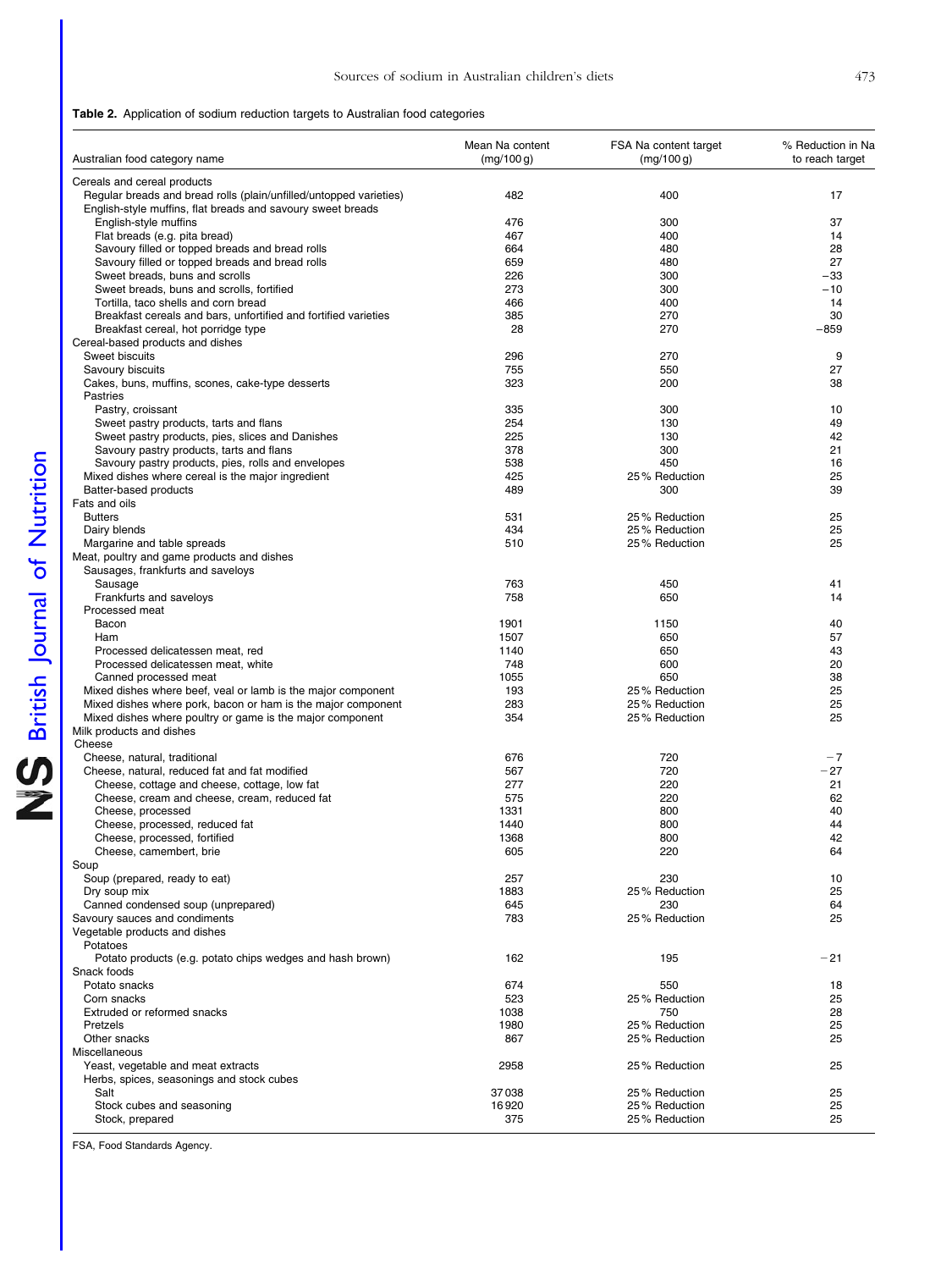<span id="page-6-0"></span>

| Australian food category name                                                                                                     | Mean Na content<br>(mq/100q) | FSA Na content target<br>(mg/100 g) | % Reduction in Na<br>to reach target |
|-----------------------------------------------------------------------------------------------------------------------------------|------------------------------|-------------------------------------|--------------------------------------|
| Cereals and cereal products                                                                                                       |                              |                                     |                                      |
| Regular breads and bread rolls (plain/unfilled/untopped varieties)<br>English-style muffins, flat breads and savoury sweet breads | 482                          | 400                                 | 17                                   |
| English-style muffins                                                                                                             | 476                          | 300                                 | 37                                   |
| Flat breads (e.g. pita bread)                                                                                                     | 467                          | 400                                 | 14                                   |
| Savoury filled or topped breads and bread rolls                                                                                   | 664                          | 480                                 | 28                                   |
| Savoury filled or topped breads and bread rolls                                                                                   | 659                          | 480                                 | 27                                   |
| Sweet breads, buns and scrolls                                                                                                    | 226                          | 300                                 | $-33$                                |
| Sweet breads, buns and scrolls, fortified                                                                                         | 273                          | 300                                 | $-10$                                |
| Tortilla, taco shells and corn bread<br>Breakfast cereals and bars, unfortified and fortified varieties                           | 466<br>385                   | 400<br>270                          | 14<br>30                             |
| Breakfast cereal, hot porridge type                                                                                               | 28                           | 270                                 | $-859$                               |
| Cereal-based products and dishes                                                                                                  |                              |                                     |                                      |
| Sweet biscuits                                                                                                                    | 296                          | 270                                 | 9                                    |
| Savoury biscuits                                                                                                                  | 755                          | 550                                 | 27                                   |
| Cakes, buns, muffins, scones, cake-type desserts                                                                                  | 323                          | 200                                 | 38                                   |
| Pastries                                                                                                                          |                              |                                     |                                      |
| Pastry, croissant                                                                                                                 | 335                          | 300                                 | 10                                   |
| Sweet pastry products, tarts and flans                                                                                            | 254                          | 130                                 | 49                                   |
| Sweet pastry products, pies, slices and Danishes                                                                                  | 225                          | 130                                 | 42                                   |
| Savoury pastry products, tarts and flans                                                                                          | 378                          | 300                                 | 21                                   |
| Savoury pastry products, pies, rolls and envelopes                                                                                | 538                          | 450                                 | 16                                   |
| Mixed dishes where cereal is the major ingredient<br>Batter-based products                                                        | 425                          | 25% Reduction                       | 25                                   |
| Fats and oils                                                                                                                     | 489                          | 300                                 | 39                                   |
| <b>Butters</b>                                                                                                                    | 531                          | 25% Reduction                       | 25                                   |
| Dairy blends                                                                                                                      | 434                          | 25% Reduction                       | 25                                   |
| Margarine and table spreads                                                                                                       | 510                          | 25% Reduction                       | 25                                   |
| Meat, poultry and game products and dishes                                                                                        |                              |                                     |                                      |
| Sausages, frankfurts and saveloys                                                                                                 |                              |                                     |                                      |
| Sausage                                                                                                                           | 763                          | 450                                 | 41                                   |
| Frankfurts and saveloys                                                                                                           | 758                          | 650                                 | 14                                   |
| Processed meat                                                                                                                    |                              |                                     |                                      |
| Bacon                                                                                                                             | 1901                         | 1150                                | 40                                   |
| Ham                                                                                                                               | 1507                         | 650                                 | 57                                   |
| Processed delicatessen meat, red                                                                                                  | 1140                         | 650                                 | 43                                   |
| Processed delicatessen meat, white                                                                                                | 748                          | 600                                 | 20                                   |
| Canned processed meat<br>Mixed dishes where beef, yeal or lamb is the major component                                             | 1055<br>193                  | 650<br>25% Reduction                | 38<br>25                             |
| Mixed dishes where pork, bacon or ham is the major component                                                                      | 283                          | 25% Reduction                       | 25                                   |
| Mixed dishes where poultry or game is the major component                                                                         | 354                          | 25% Reduction                       | 25                                   |
| Milk products and dishes                                                                                                          |                              |                                     |                                      |
| Cheese                                                                                                                            |                              |                                     |                                      |
| Cheese, natural, traditional                                                                                                      | 676                          | 720                                 | $-7$                                 |
| Cheese, natural, reduced fat and fat modified                                                                                     | 567                          | 720                                 | $-27$                                |
| Cheese, cottage and cheese, cottage, low fat                                                                                      | 277                          | 220                                 | 21                                   |
| Cheese, cream and cheese, cream, reduced fat                                                                                      | 575                          | 220                                 | 62                                   |
| Cheese, processed                                                                                                                 | 1331                         | 800                                 | 40                                   |
| Cheese, processed, reduced fat                                                                                                    | 1440                         | 800                                 | 44                                   |
| Cheese, processed, fortified                                                                                                      | 1368                         | 800                                 | 42                                   |
| Cheese, camembert, brie<br>Soup                                                                                                   | 605                          | 220                                 | 64                                   |
| Soup (prepared, ready to eat)                                                                                                     | 257                          | 230                                 | 10                                   |
| Dry soup mix                                                                                                                      | 1883                         | 25% Reduction                       | 25                                   |
| Canned condensed soup (unprepared)                                                                                                | 645                          | 230                                 | 64                                   |
| Savoury sauces and condiments                                                                                                     | 783                          | 25% Reduction                       | 25                                   |
| Vegetable products and dishes<br>Potatoes                                                                                         |                              |                                     |                                      |
| Potato products (e.g. potato chips wedges and hash brown)                                                                         | 162                          | 195                                 | $-21$                                |
| Snack foods                                                                                                                       |                              |                                     |                                      |
| Potato snacks                                                                                                                     | 674                          | 550                                 | 18                                   |
| Corn snacks                                                                                                                       | 523                          | 25% Reduction                       | 25                                   |
| Extruded or reformed snacks                                                                                                       | 1038                         | 750                                 | 28                                   |
| Pretzels                                                                                                                          | 1980                         | 25% Reduction                       | 25                                   |
| Other snacks                                                                                                                      | 867                          | 25% Reduction                       | 25                                   |
| Miscellaneous                                                                                                                     |                              |                                     |                                      |
| Yeast, vegetable and meat extracts                                                                                                | 2958                         | 25% Reduction                       | 25                                   |
| Herbs, spices, seasonings and stock cubes<br>Salt                                                                                 | 37038                        | 25% Reduction                       | 25                                   |
| Stock cubes and seasoning                                                                                                         | 16920                        | 25% Reduction                       | 25                                   |
| Stock, prepared                                                                                                                   | 375                          | 25% Reduction                       | 25                                   |
|                                                                                                                                   |                              |                                     |                                      |

FSA, Food Standards Agency.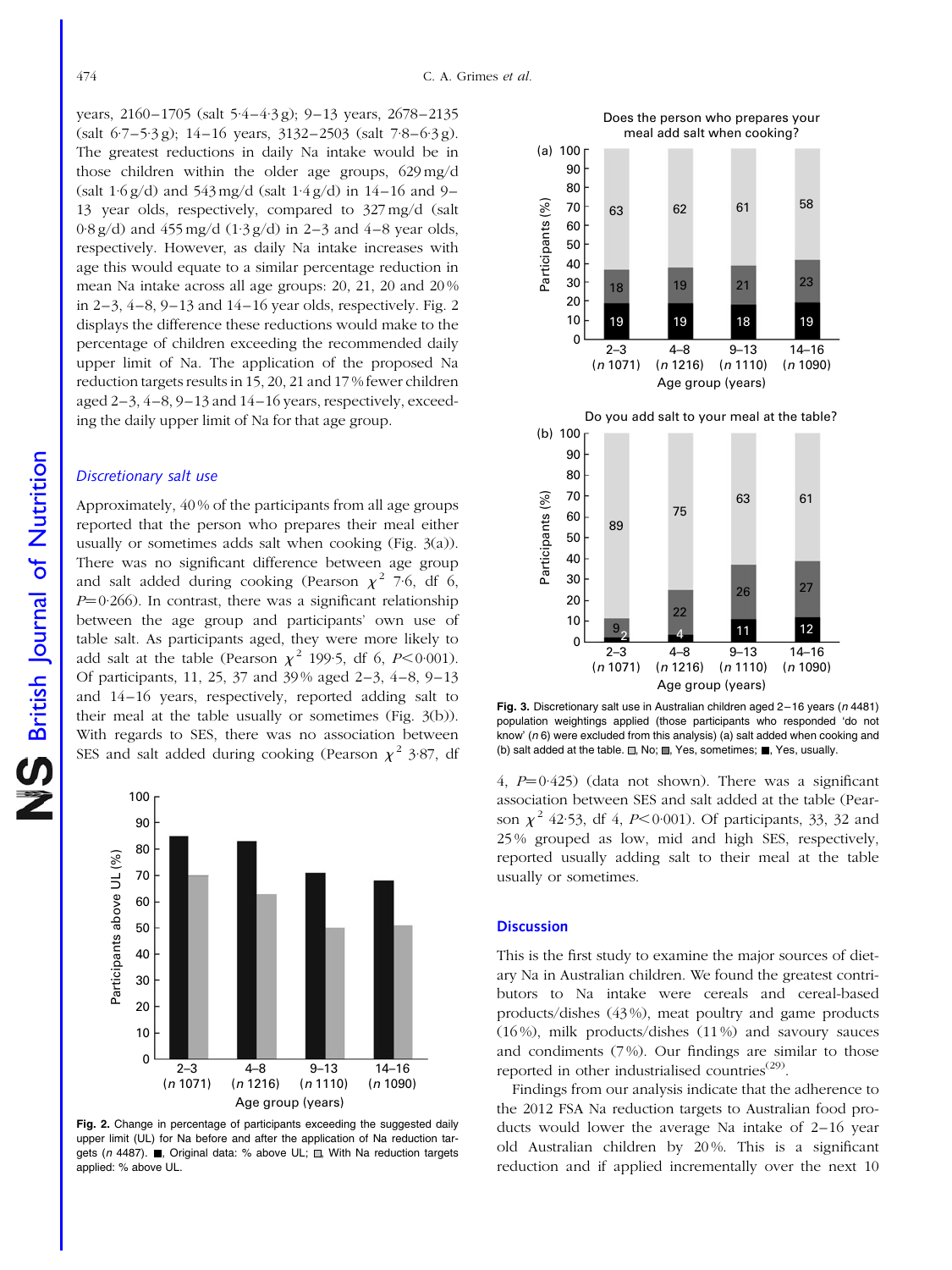years, 2160–1705 (salt 5·4–4·3 g); 9–13 years, 2678–2135  $(salt 6.7-5.3 g); 14-16 years, 3132-2503 (salt 7.8-6.3 g).$ The greatest reductions in daily Na intake would be in those children within the older age groups, 629 mg/d (salt  $1.6 g/d$ ) and  $543 mg/d$  (salt  $1.4 g/d$ ) in  $14-16$  and 9-13 year olds, respectively, compared to 327 mg/d (salt  $0.8 \text{ g/d}$ ) and  $455 \text{ mg/d}$  ( $1.3 \text{ g/d}$ ) in 2–3 and 4–8 year olds, respectively. However, as daily Na intake increases with age this would equate to a similar percentage reduction in mean Na intake across all age groups: 20, 21, 20 and 20 % in 2–3, 4–8, 9–13 and 14–16 year olds, respectively. Fig. 2 displays the difference these reductions would make to the percentage of children exceeding the recommended daily upper limit of Na. The application of the proposed Na reduction targets results in 15, 20, 21 and 17 % fewer children aged 2–3, 4–8, 9–13 and 14–16 years, respectively, exceeding the daily upper limit of Na for that age group.

#### Discretionary salt use

Approximately, 40 % of the participants from all age groups reported that the person who prepares their meal either usually or sometimes adds salt when cooking (Fig. 3(a)). There was no significant difference between age group and salt added during cooking (Pearson  $\chi^2$  7.6, df 6,  $P=0.266$ ). In contrast, there was a significant relationship between the age group and participants' own use of table salt. As participants aged, they were more likely to add salt at the table (Pearson  $\chi^2$  199.5, df 6, P<0.001). Of participants, 11, 25, 37 and 39 % aged 2–3, 4–8, 9–13 and 14–16 years, respectively, reported adding salt to their meal at the table usually or sometimes (Fig. 3(b)). With regards to SES, there was no association between SES and salt added during cooking (Pearson  $\chi^2$  3.87, df



Fig. 2. Change in percentage of participants exceeding the suggested daily upper limit (UL) for Na before and after the application of Na reduction targets (n 4487).  $\blacksquare$ , Original data: % above UL;  $\blacksquare$ , With Na reduction targets applied: % above UL.



Fig. 3. Discretionary salt use in Australian children aged 2–16 years (n 4481) population weightings applied (those participants who responded 'do not know' (n 6) were excluded from this analysis) (a) salt added when cooking and (b) salt added at the table.  $\Box$ , No;  $\Box$ , Yes, sometimes;  $\Box$ , Yes, usually.

4,  $P=0.425$ ) (data not shown). There was a significant association between SES and salt added at the table (Pearson  $\chi^2$  42.53, df 4, P<0.001). Of participants, 33, 32 and 25 % grouped as low, mid and high SES, respectively, reported usually adding salt to their meal at the table usually or sometimes.

#### **Discussion**

This is the first study to examine the major sources of dietary Na in Australian children. We found the greatest contributors to Na intake were cereals and cereal-based products/dishes (43 %), meat poultry and game products (16 %), milk products/dishes (11 %) and savoury sauces and condiments (7 %). Our findings are similar to those reported in other industrialised countries<sup>(29)</sup>.

Findings from our analysis indicate that the adherence to the 2012 FSA Na reduction targets to Australian food products would lower the average Na intake of 2–16 year old Australian children by 20 %. This is a significant reduction and if applied incrementally over the next 10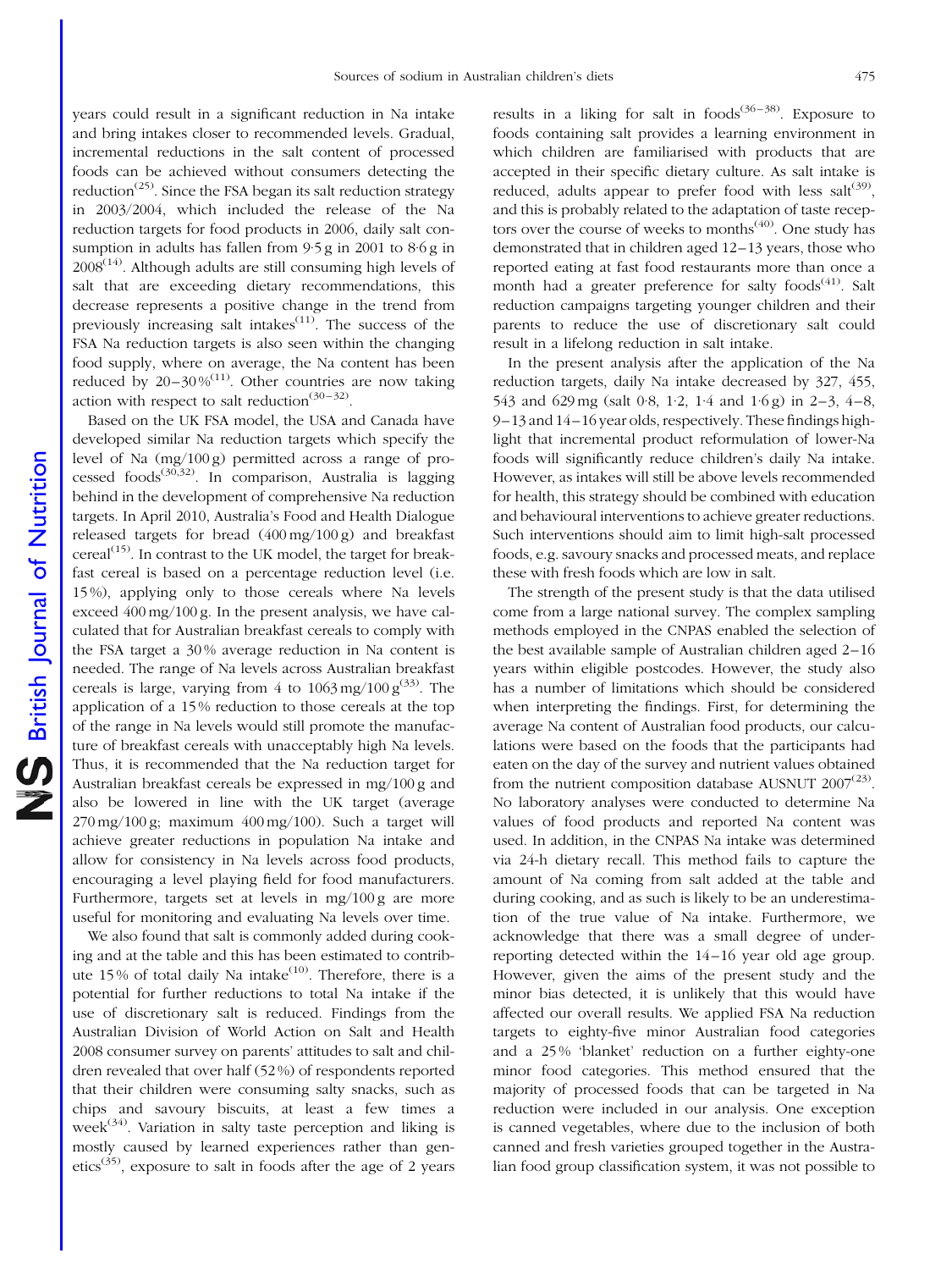years could result in a significant reduction in Na intake and bring intakes closer to recommended levels. Gradual, incremental reductions in the salt content of processed foods can be achieved without consumers detecting the reduction<sup> $(25)$ </sup>. Since the FSA began its salt reduction strategy in 2003/2004, which included the release of the Na reduction targets for food products in 2006, daily salt consumption in adults has fallen from 9.5 g in 2001 to 8.6 g in  $2008<sup>(14)</sup>$ . Although adults are still consuming high levels of salt that are exceeding dietary recommendations, this decrease represents a positive change in the trend from previously increasing salt intakes $\frac{(11)}{11}$ . The success of the FSA Na reduction targets is also seen within the changing food supply, where on average, the Na content has been reduced by  $20-30\%^{(11)}$ . Other countries are now taking action with respect to salt reduction<sup>(30-32)</sup>.

Based on the UK FSA model, the USA and Canada have developed similar Na reduction targets which specify the level of Na (mg/100 g) permitted across a range of processed foods<sup>(30,32)</sup>. In comparison, Australia is lagging behind in the development of comprehensive Na reduction targets. In April 2010, Australia's Food and Health Dialogue released targets for bread  $(400 \,\text{mg}/100 \,\text{g})$  and breakfast cereal<sup>(15)</sup>. In contrast to the UK model, the target for breakfast cereal is based on a percentage reduction level (i.e. 15 %), applying only to those cereals where Na levels exceed 400 mg/100 g. In the present analysis, we have calculated that for Australian breakfast cereals to comply with the FSA target a 30 % average reduction in Na content is needed. The range of Na levels across Australian breakfast cereals is large, varying from 4 to  $1063 \,\text{mg}/100 \,\text{g}^{(33)}$ . The application of a 15 % reduction to those cereals at the top of the range in Na levels would still promote the manufacture of breakfast cereals with unacceptably high Na levels. Thus, it is recommended that the Na reduction target for Australian breakfast cereals be expressed in mg/100 g and also be lowered in line with the UK target (average  $270 \,\text{mg}/100 \,\text{g}$ ; maximum  $400 \,\text{mg}/100$ ). Such a target will achieve greater reductions in population Na intake and allow for consistency in Na levels across food products, encouraging a level playing field for food manufacturers. Furthermore, targets set at levels in mg/100 g are more useful for monitoring and evaluating Na levels over time.

We also found that salt is commonly added during cooking and at the table and this has been estimated to contribute 15% of total daily Na intake<sup>(10)</sup>. Therefore, there is a potential for further reductions to total Na intake if the use of discretionary salt is reduced. Findings from the Australian Division of World Action on Salt and Health 2008 consumer survey on parents' attitudes to salt and children revealed that over half (52 %) of respondents reported that their children were consuming salty snacks, such as chips and savoury biscuits, at least a few times a week<sup> $(34)$ </sup>. Variation in salty taste perception and liking is mostly caused by learned experiences rather than genetics<sup>(35)</sup>, exposure to salt in foods after the age of 2 years

results in a liking for salt in  $f(36-38)$ . Exposure to foods containing salt provides a learning environment in which children are familiarised with products that are accepted in their specific dietary culture. As salt intake is reduced, adults appear to prefer food with less salt<sup>(39)</sup>, and this is probably related to the adaptation of taste receptors over the course of weeks to months<sup> $(40)$ </sup>. One study has demonstrated that in children aged 12–13 years, those who reported eating at fast food restaurants more than once a month had a greater preference for salty foods<sup>(41)</sup>. Salt reduction campaigns targeting younger children and their parents to reduce the use of discretionary salt could result in a lifelong reduction in salt intake.

In the present analysis after the application of the Na reduction targets, daily Na intake decreased by 327, 455, 543 and 629 mg (salt 0.8, 1.2, 1.4 and 1.6 g) in 2–3, 4–8, 9–13 and 14–16 year olds, respectively. These findings highlight that incremental product reformulation of lower-Na foods will significantly reduce children's daily Na intake. However, as intakes will still be above levels recommended for health, this strategy should be combined with education and behavioural interventions to achieve greater reductions. Such interventions should aim to limit high-salt processed foods, e.g. savoury snacks and processed meats, and replace these with fresh foods which are low in salt.

The strength of the present study is that the data utilised come from a large national survey. The complex sampling methods employed in the CNPAS enabled the selection of the best available sample of Australian children aged 2–16 years within eligible postcodes. However, the study also has a number of limitations which should be considered when interpreting the findings. First, for determining the average Na content of Australian food products, our calculations were based on the foods that the participants had eaten on the day of the survey and nutrient values obtained from the nutrient composition database AUSNUT  $2007^{(23)}$ . No laboratory analyses were conducted to determine Na values of food products and reported Na content was used. In addition, in the CNPAS Na intake was determined via 24-h dietary recall. This method fails to capture the amount of Na coming from salt added at the table and during cooking, and as such is likely to be an underestimation of the true value of Na intake. Furthermore, we acknowledge that there was a small degree of underreporting detected within the 14–16 year old age group. However, given the aims of the present study and the minor bias detected, it is unlikely that this would have affected our overall results. We applied FSA Na reduction targets to eighty-five minor Australian food categories and a 25 % 'blanket' reduction on a further eighty-one minor food categories. This method ensured that the majority of processed foods that can be targeted in Na reduction were included in our analysis. One exception is canned vegetables, where due to the inclusion of both canned and fresh varieties grouped together in the Australian food group classification system, it was not possible to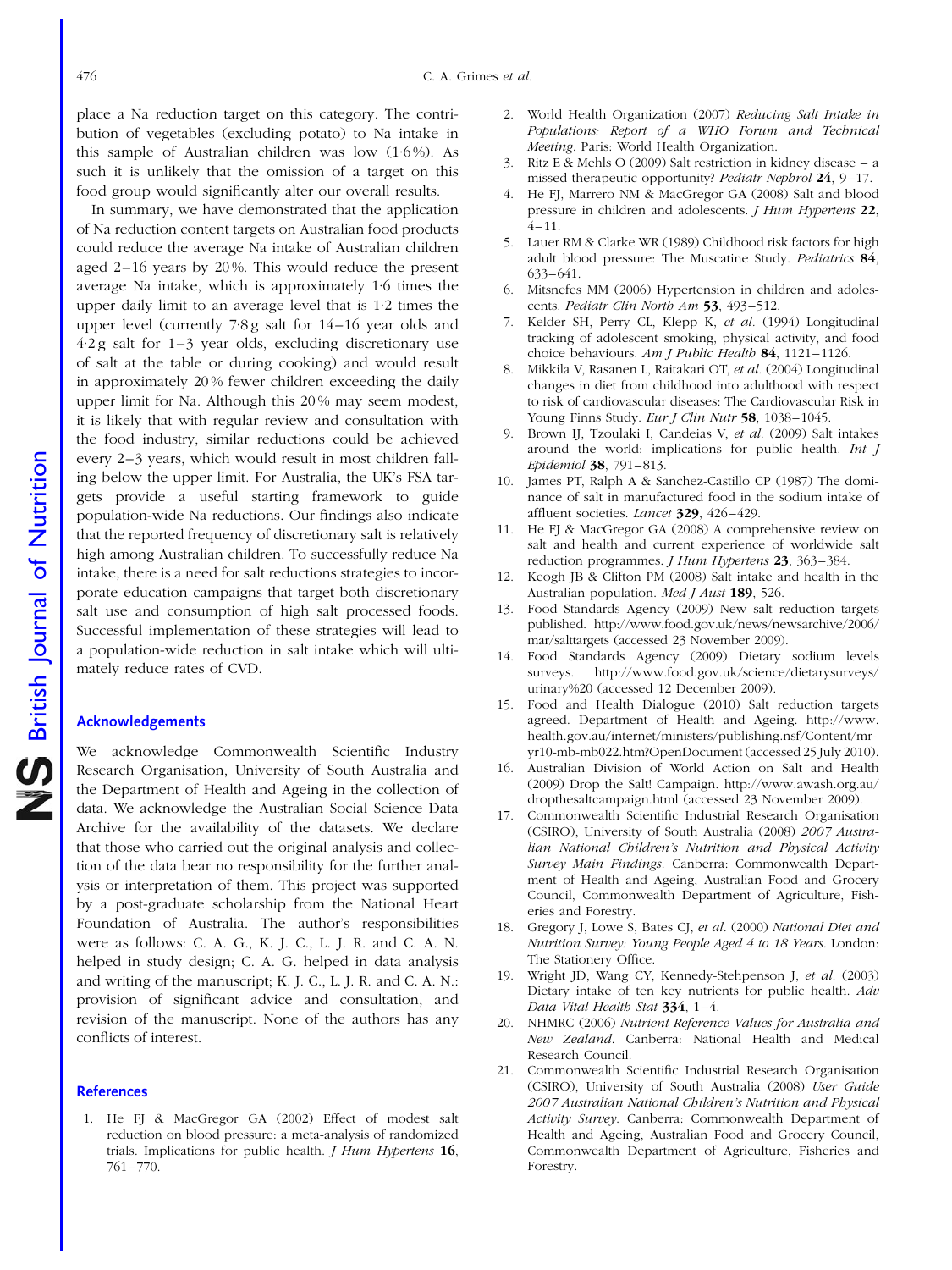place a Na reduction target on this category. The contribution of vegetables (excluding potato) to Na intake in this sample of Australian children was low  $(1.6\%)$ . As such it is unlikely that the omission of a target on this food group would significantly alter our overall results.

In summary, we have demonstrated that the application of Na reduction content targets on Australian food products could reduce the average Na intake of Australian children aged 2–16 years by 20 %. This would reduce the present average Na intake, which is approximately 1·6 times the upper daily limit to an average level that is 1·2 times the upper level (currently 7·8 g salt for 14–16 year olds and 4·2 g salt for 1–3 year olds, excluding discretionary use of salt at the table or during cooking) and would result in approximately 20 % fewer children exceeding the daily upper limit for Na. Although this 20 % may seem modest, it is likely that with regular review and consultation with the food industry, similar reductions could be achieved every 2–3 years, which would result in most children falling below the upper limit. For Australia, the UK's FSA targets provide a useful starting framework to guide population-wide Na reductions. Our findings also indicate that the reported frequency of discretionary salt is relatively high among Australian children. To successfully reduce Na intake, there is a need for salt reductions strategies to incorporate education campaigns that target both discretionary salt use and consumption of high salt processed foods. Successful implementation of these strategies will lead to a population-wide reduction in salt intake which will ultimately reduce rates of CVD.

#### Acknowledgements

We acknowledge Commonwealth Scientific Industry Research Organisation, University of South Australia and the Department of Health and Ageing in the collection of data. We acknowledge the Australian Social Science Data Archive for the availability of the datasets. We declare that those who carried out the original analysis and collection of the data bear no responsibility for the further analysis or interpretation of them. This project was supported by a post-graduate scholarship from the National Heart Foundation of Australia. The author's responsibilities were as follows: C. A. G., K. J. C., L. J. R. and C. A. N. helped in study design; C. A. G. helped in data analysis and writing of the manuscript; K. J. C., L. J. R. and C. A. N.: provision of significant advice and consultation, and revision of the manuscript. None of the authors has any conflicts of interest.

#### **References**

1. He FJ & MacGregor GA (2002) Effect of modest salt reduction on blood pressure: a meta-analysis of randomized trials. Implications for public health.  $J$  Hum Hypertens 16, 761–770.

- 2. World Health Organization (2007) Reducing Salt Intake in Populations: Report of a WHO Forum and Technical Meeting. Paris: World Health Organization.
- 3. Ritz E & Mehls O (2009) Salt restriction in kidney disease a missed therapeutic opportunity? Pediatr Nephrol 24, 9–17.
- 4. He FJ, Marrero NM & MacGregor GA (2008) Salt and blood pressure in children and adolescents. J Hum Hypertens 22,  $4 - 11$ .
- 5. Lauer RM & Clarke WR (1989) Childhood risk factors for high adult blood pressure: The Muscatine Study. Pediatrics 84, 633–641.
- 6. Mitsnefes MM (2006) Hypertension in children and adolescents. Pediatr Clin North Am 53, 493-512.
- 7. Kelder SH, Perry CL, Klepp K, et al. (1994) Longitudinal tracking of adolescent smoking, physical activity, and food choice behaviours. Am J Public Health 84, 1121-1126.
- 8. Mikkila V, Rasanen L, Raitakari OT, et al. (2004) Longitudinal changes in diet from childhood into adulthood with respect to risk of cardiovascular diseases: The Cardiovascular Risk in Young Finns Study. Eur J Clin Nutr 58, 1038-1045.
- 9. Brown IJ, Tzoulaki I, Candeias V, et al. (2009) Salt intakes around the world: implications for public health. Int J Epidemiol 38, 791–813.
- 10. James PT, Ralph A & Sanchez-Castillo CP (1987) The dominance of salt in manufactured food in the sodium intake of affluent societies. Lancet 329, 426–429.
- 11. He FJ & MacGregor GA (2008) A comprehensive review on salt and health and current experience of worldwide salt reduction programmes. *J Hum Hypertens* 23, 363-384.
- 12. Keogh JB & Clifton PM (2008) Salt intake and health in the Australian population. Med J Aust 189, 526.
- 13. Food Standards Agency (2009) New salt reduction targets published. http://www.food.gov.uk/news/newsarchive/2006/ mar/salttargets (accessed 23 November 2009).
- 14. Food Standards Agency (2009) Dietary sodium levels surveys. http://www.food.gov.uk/science/dietarysurveys/ urinary%20 (accessed 12 December 2009).
- 15. Food and Health Dialogue (2010) Salt reduction targets agreed. Department of Health and Ageing. http://www. health.gov.au/internet/ministers/publishing.nsf/Content/mryr10-mb-mb022.htm?OpenDocument (accessed 25 July 2010).
- 16. Australian Division of World Action on Salt and Health (2009) Drop the Salt! Campaign. http://www.awash.org.au/ dropthesaltcampaign.html (accessed 23 November 2009).
- 17. Commonwealth Scientific Industrial Research Organisation (CSIRO), University of South Australia (2008) 2007 Australian National Children's Nutrition and Physical Activity Survey Main Findings. Canberra: Commonwealth Department of Health and Ageing, Australian Food and Grocery Council, Commonwealth Department of Agriculture, Fisheries and Forestry.
- 18. Gregory J, Lowe S, Bates CJ, et al. (2000) National Diet and Nutrition Survey: Young People Aged 4 to 18 Years. London: The Stationery Office.
- 19. Wright JD, Wang CY, Kennedy-Stehpenson J, et al. (2003) Dietary intake of ten key nutrients for public health. Adv Data Vital Health Stat 334, 1–4.
- 20. NHMRC (2006) Nutrient Reference Values for Australia and New Zealand. Canberra: National Health and Medical Research Council.
- 21. Commonwealth Scientific Industrial Research Organisation (CSIRO), University of South Australia (2008) User Guide 2007 Australian National Children's Nutrition and Physical Activity Survey. Canberra: Commonwealth Department of Health and Ageing, Australian Food and Grocery Council, Commonwealth Department of Agriculture, Fisheries and Forestry.